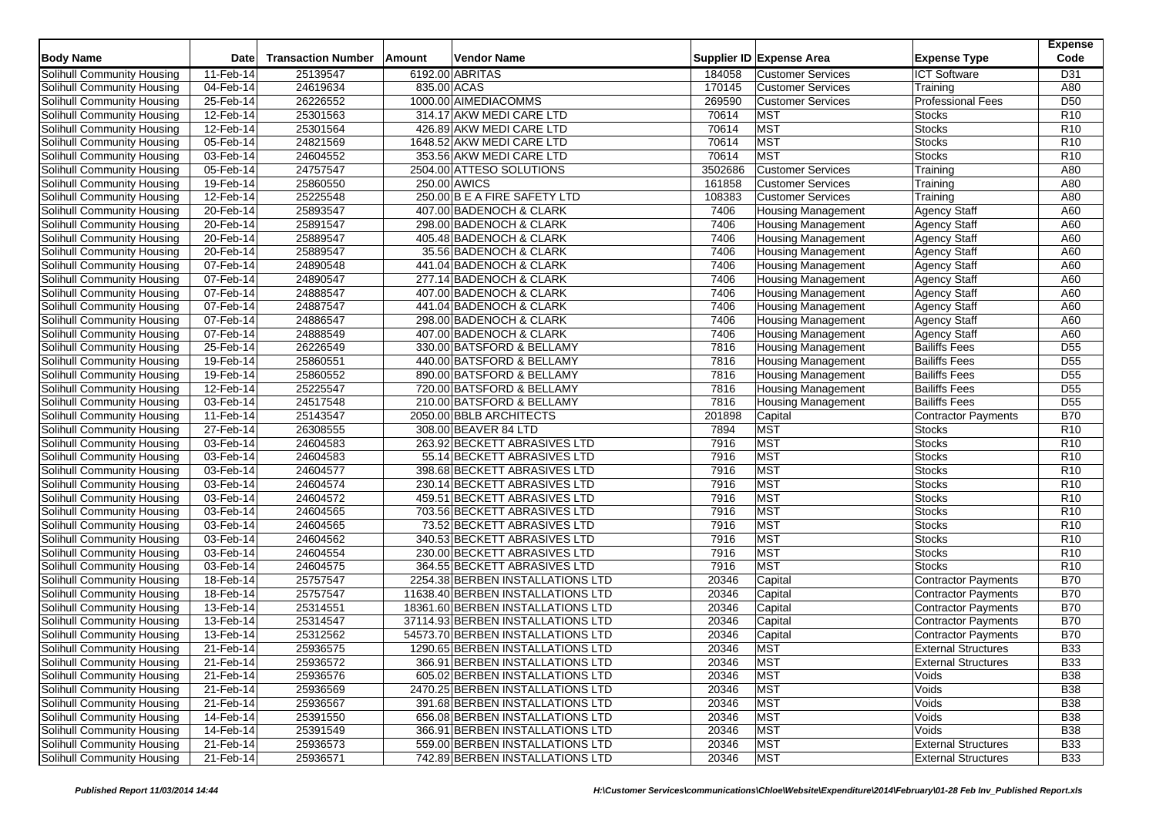| <b>Body Name</b>                  | Date         | <b>Transaction Number</b> | Amount | Vendor Name                       |         | Supplier ID Expense Area  | <b>Expense Type</b>        | <b>Expense</b><br>Code |
|-----------------------------------|--------------|---------------------------|--------|-----------------------------------|---------|---------------------------|----------------------------|------------------------|
| Solihull Community Housing        | 11-Feb-14    | 25139547                  |        | 6192.00 ABRITAS                   | 184058  | <b>Customer Services</b>  | <b>ICT Software</b>        | D31                    |
| Solihull Community Housing        | 04-Feb-14    | 24619634                  |        | 835.00 ACAS                       | 170145  | <b>Customer Services</b>  | Training                   | A80                    |
| Solihull Community Housing        | 25-Feb-14    | 26226552                  |        | 1000.00 AIMEDIACOMMS              | 269590  | <b>Customer Services</b>  | <b>Professional Fees</b>   | D <sub>50</sub>        |
| Solihull Community Housing        | $12$ -Feb-14 | 25301563                  |        | 314.17 AKW MEDI CARE LTD          | 70614   | <b>MST</b>                | <b>Stocks</b>              | R <sub>10</sub>        |
| Solihull Community Housing        | 12-Feb-14    | 25301564                  |        | 426.89 AKW MEDI CARE LTD          | 70614   | <b>MST</b>                | <b>Stocks</b>              | R <sub>10</sub>        |
| Solihull Community Housing        | 05-Feb-14    | 24821569                  |        | 1648.52 AKW MEDI CARE LTD         | 70614   | <b>MST</b>                | <b>Stocks</b>              | R <sub>10</sub>        |
| Solihull Community Housing        | $03$ -Feb-14 | 24604552                  |        | 353.56 AKW MEDI CARE LTD          | 70614   | <b>MST</b>                | Stocks                     | R <sub>10</sub>        |
| <b>Solihull Community Housing</b> | 05-Feb-14    | 24757547                  |        | 2504.00 ATTESO SOLUTIONS          | 3502686 | <b>Customer Services</b>  | Training                   | A80                    |
| Solihull Community Housing        | 19-Feb-14    | 25860550                  |        | 250.00 AWICS                      | 161858  | <b>Customer Services</b>  | Training                   | A80                    |
| Solihull Community Housing        | 12-Feb-14    | 25225548                  |        | 250.00 B E A FIRE SAFETY LTD      | 108383  | <b>Customer Services</b>  | Training                   | A80                    |
| Solihull Community Housing        | 20-Feb-14    | 25893547                  |        | 407.00 BADENOCH & CLARK           | 7406    | <b>Housing Management</b> | <b>Agency Staff</b>        | A60                    |
| Solihull Community Housing        | 20-Feb-14    | 25891547                  |        | 298.00 BADENOCH & CLARK           | 7406    | <b>Housing Management</b> | <b>Agency Staff</b>        | A60                    |
| Solihull Community Housing        | 20-Feb-14    | 25889547                  |        | 405.48 BADENOCH & CLARK           | 7406    | <b>Housing Management</b> | <b>Agency Staff</b>        | A60                    |
| Solihull Community Housing        | 20-Feb-14    | 25889547                  |        | 35.56 BADENOCH & CLARK            | 7406    | Housing Management        | <b>Agency Staff</b>        | A60                    |
| Solihull Community Housing        | 07-Feb-14    | 24890548                  |        | 441.04 BADENOCH & CLARK           | 7406    | <b>Housing Management</b> | <b>Agency Staff</b>        | A60                    |
| Solihull Community Housing        | 07-Feb-14    | 24890547                  |        | 277.14 BADENOCH & CLARK           | 7406    | Housing Management        | Agency Staff               | A60                    |
| Solihull Community Housing        | 07-Feb-14    | 24888547                  |        | 407.00 BADENOCH & CLARK           | 7406    | <b>Housing Management</b> | <b>Agency Staff</b>        | A60                    |
| Solihull Community Housing        | 07-Feb-14    | 24887547                  |        | 441.04 BADENOCH & CLARK           | 7406    | <b>Housing Management</b> | <b>Agency Staff</b>        | A60                    |
| Solihull Community Housing        | 07-Feb-14    | 24886547                  |        | 298.00 BADENOCH & CLARK           | 7406    | <b>Housing Management</b> | <b>Agency Staff</b>        | A60                    |
| Solihull Community Housing        | 07-Feb-14    | 24888549                  |        | 407.00 BADENOCH & CLARK           | 7406    | <b>Housing Management</b> | <b>Agency Staff</b>        | A60                    |
| Solihull Community Housing        | 25-Feb-14    | 26226549                  |        | 330.00 BATSFORD & BELLAMY         | 7816    | <b>Housing Management</b> | <b>Bailiffs Fees</b>       | D <sub>55</sub>        |
| Solihull Community Housing        | 19-Feb-14    | 25860551                  |        | 440.00 BATSFORD & BELLAMY         | 7816    | <b>Housing Management</b> | <b>Bailiffs Fees</b>       | $\overline{D55}$       |
| Solihull Community Housing        | 19-Feb-14    | 25860552                  |        | 890.00 BATSFORD & BELLAMY         | 7816    | <b>Housing Management</b> | <b>Bailiffs Fees</b>       | D <sub>55</sub>        |
| Solihull Community Housing        | 12-Feb-14    | 25225547                  |        | 720.00 BATSFORD & BELLAMY         | 7816    | <b>Housing Management</b> | <b>Bailiffs Fees</b>       | $\overline{D55}$       |
| Solihull Community Housing        | 03-Feb-14    | 24517548                  |        | 210.00 BATSFORD & BELLAMY         | 7816    | <b>Housing Management</b> | <b>Bailiffs Fees</b>       | D <sub>55</sub>        |
| Solihull Community Housing        | 11-Feb-14    | 25143547                  |        | 2050.00 BBLB ARCHITECTS           | 201898  | Capital                   | Contractor Payments        | <b>B70</b>             |
| Solihull Community Housing        | 27-Feb-14    | 26308555                  |        | 308.00 BEAVER 84 LTD              | 7894    | <b>MST</b>                | <b>Stocks</b>              | R <sub>10</sub>        |
| Solihull Community Housing        | 03-Feb-14    | 24604583                  |        | 263.92 BECKETT ABRASIVES LTD      | 7916    | <b>MST</b>                | <b>Stocks</b>              | R <sub>10</sub>        |
| Solihull Community Housing        | 03-Feb-14    | 24604583                  |        | 55.14 BECKETT ABRASIVES LTD       | 7916    | <b>MST</b>                | <b>Stocks</b>              | R10                    |
| Solihull Community Housing        | 03-Feb-14    | 24604577                  |        | 398.68 BECKETT ABRASIVES LTD      | 7916    | <b>MST</b>                | Stocks                     | R <sub>10</sub>        |
| <b>Solihull Community Housing</b> | 03-Feb-14    | 24604574                  |        | 230.14 BECKETT ABRASIVES LTD      | 7916    | <b>MST</b>                | <b>Stocks</b>              | R <sub>10</sub>        |
| Solihull Community Housing        | 03-Feb-14    | 24604572                  |        | 459.51 BECKETT ABRASIVES LTD      | 7916    | <b>MST</b>                | <b>Stocks</b>              | R <sub>10</sub>        |
| Solihull Community Housing        | 03-Feb-14    | 24604565                  |        | 703.56 BECKETT ABRASIVES LTD      | 7916    | <b>MST</b>                | <b>Stocks</b>              | R <sub>10</sub>        |
| Solihull Community Housing        | 03-Feb-14    | 24604565                  |        | 73.52 BECKETT ABRASIVES LTD       | 7916    | <b>MST</b>                | <b>Stocks</b>              | R <sub>10</sub>        |
| Solihull Community Housing        | 03-Feb-14    | 24604562                  |        | 340.53 BECKETT ABRASIVES LTD      | 7916    | <b>MST</b>                | Stocks                     | R <sub>10</sub>        |
| Solihull Community Housing        | 03-Feb-14    | 24604554                  |        | 230.00 BECKETT ABRASIVES LTD      | 7916    | <b>MST</b>                | <b>Stocks</b>              | R <sub>10</sub>        |
| Solihull Community Housing        | 03-Feb-14    | 24604575                  |        | 364.55 BECKETT ABRASIVES LTD      | 7916    | <b>MST</b>                | <b>Stocks</b>              | R <sub>10</sub>        |
| Solihull Community Housing        | 18-Feb-14    | 25757547                  |        | 2254.38 BERBEN INSTALLATIONS LTD  | 20346   | Capital                   | <b>Contractor Payments</b> | <b>B70</b>             |
| Solihull Community Housing        | 18-Feb-14    | 25757547                  |        | 11638.40 BERBEN INSTALLATIONS LTD | 20346   | Capital                   | Contractor Payments        | <b>B70</b>             |
| Solihull Community Housing        | 13-Feb-14    | 25314551                  |        | 18361.60 BERBEN INSTALLATIONS LTD | 20346   | Capital                   | Contractor Payments        | <b>B70</b>             |
| <b>Solihull Community Housing</b> | 13-Feb-14    | 25314547                  |        | 37114.93 BERBEN INSTALLATIONS LTD | 20346   | Capital                   | <b>Contractor Payments</b> | <b>B70</b>             |
| Solihull Community Housing        | 13-Feb-14    | 25312562                  |        | 54573.70 BERBEN INSTALLATIONS LTD | 20346   | Capital                   | <b>Contractor Payments</b> | <b>B70</b>             |
| <b>Solihull Community Housing</b> | 21-Feb-14    | 25936575                  |        | 1290.65 BERBEN INSTALLATIONS LTD  | 20346   | <b>MST</b>                | <b>External Structures</b> | <b>B33</b>             |
| Solihull Community Housing        | 21-Feb-14    | 25936572                  |        | 366.91 BERBEN INSTALLATIONS LTD   | 20346   | <b>MST</b>                | <b>External Structures</b> | <b>B33</b>             |
| Solihull Community Housing        | 21-Feb-14    | 25936576                  |        | 605.02 BERBEN INSTALLATIONS LTD   | 20346   | <b>MST</b>                | Voids                      | <b>B</b> 38            |
| Solihull Community Housing        | 21-Feb-14    | 25936569                  |        | 2470.25 BERBEN INSTALLATIONS LTD  | 20346   | <b>MST</b>                | Voids                      | <b>B38</b>             |
| Solihull Community Housing        | 21-Feb-14    | 25936567                  |        | 391.68 BERBEN INSTALLATIONS LTD   | 20346   | <b>MST</b>                | Voids                      | <b>B38</b>             |
| Solihull Community Housing        | $14$ -Feb-14 | 25391550                  |        | 656.08 BERBEN INSTALLATIONS LTD   | 20346   | <b>MST</b>                | Voids                      | <b>B38</b>             |
| Solihull Community Housing        | 14-Feb-14    | 25391549                  |        | 366.91 BERBEN INSTALLATIONS LTD   | 20346   | <b>MST</b>                | Voids                      | <b>B38</b>             |
| Solihull Community Housing        | 21-Feb-14    | 25936573                  |        | 559.00 BERBEN INSTALLATIONS LTD   | 20346   | <b>MST</b>                | <b>External Structures</b> | <b>B33</b>             |
| Solihull Community Housing        | 21-Feb-14    | 25936571                  |        | 742.89 BERBEN INSTALLATIONS LTD   | 20346   | <b>MST</b>                | <b>External Structures</b> | <b>B33</b>             |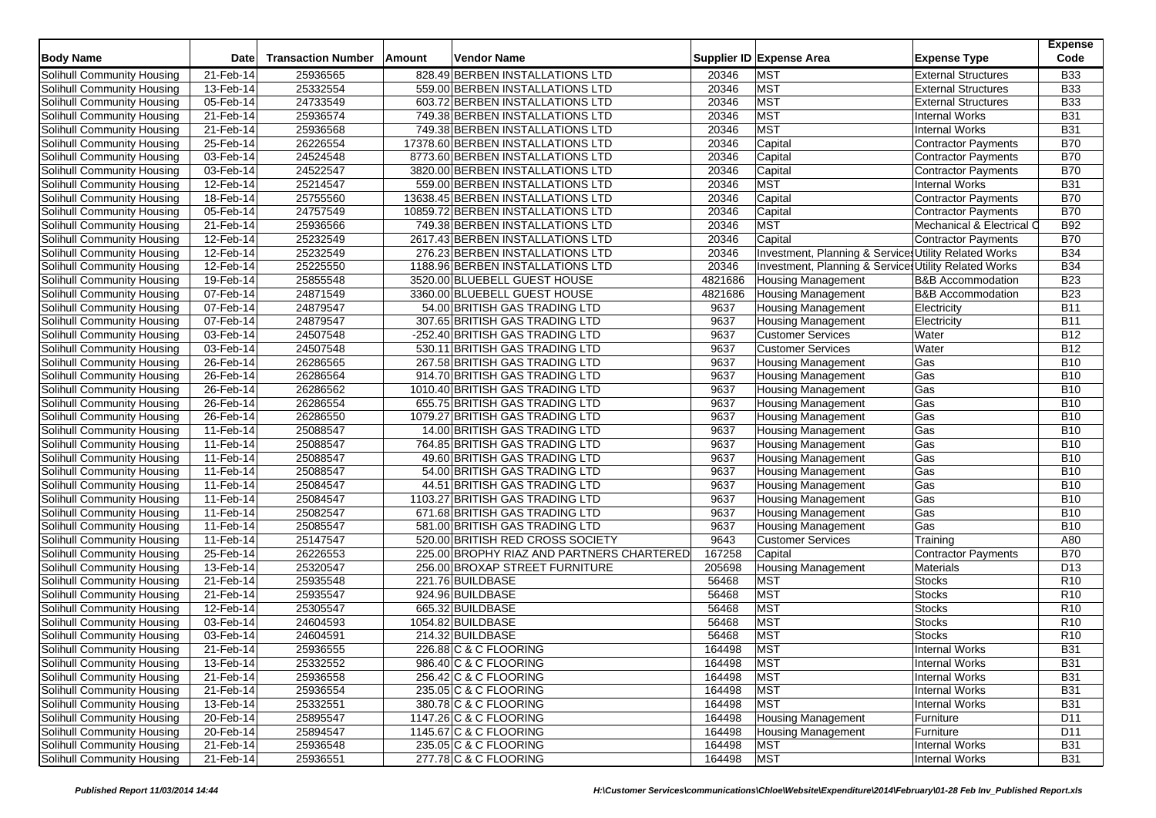| <b>Body Name</b>                  | <b>Date</b>  | <b>Transaction Number</b> | Amount | <b>Vendor Name</b>                        |         | Supplier ID Expense Area                              | <b>Expense Type</b>          | <b>Expense</b><br>Code |
|-----------------------------------|--------------|---------------------------|--------|-------------------------------------------|---------|-------------------------------------------------------|------------------------------|------------------------|
| Solihull Community Housing        | 21-Feb-14    | 25936565                  |        | 828.49 BERBEN INSTALLATIONS LTD           | 20346   | <b>MST</b>                                            | <b>External Structures</b>   | <b>B33</b>             |
| Solihull Community Housing        | 13-Feb-14    | 25332554                  |        | 559.00 BERBEN INSTALLATIONS LTD           | 20346   | <b>MST</b>                                            | <b>External Structures</b>   | <b>B33</b>             |
| Solihull Community Housing        | 05-Feb-14    | 24733549                  |        | 603.72 BERBEN INSTALLATIONS LTD           | 20346   | <b>MST</b>                                            | <b>External Structures</b>   | <b>B33</b>             |
| Solihull Community Housing        | 21-Feb-14    | 25936574                  |        | 749.38 BERBEN INSTALLATIONS LTD           | 20346   | <b>MST</b>                                            | <b>Internal Works</b>        | <b>B31</b>             |
| Solihull Community Housing        | 21-Feb-14    | 25936568                  |        | 749.38 BERBEN INSTALLATIONS LTD           | 20346   | <b>MST</b>                                            | <b>Internal Works</b>        | <b>B31</b>             |
| Solihull Community Housing        | 25-Feb-14    | 26226554                  |        | 17378.60 BERBEN INSTALLATIONS LTD         | 20346   | Capital                                               | <b>Contractor Payments</b>   | <b>B70</b>             |
| Solihull Community Housing        | 03-Feb-14    | 24524548                  |        | 8773.60 BERBEN INSTALLATIONS LTD          | 20346   | Capital                                               | Contractor Payments          | <b>B70</b>             |
| <b>Solihull Community Housing</b> | 03-Feb-14    | 24522547                  |        | 3820.00 BERBEN INSTALLATIONS LTD          | 20346   | Capital                                               | <b>Contractor Payments</b>   | <b>B70</b>             |
| Solihull Community Housing        | 12-Feb-14    | 25214547                  |        | 559.00 BERBEN INSTALLATIONS LTD           | 20346   | <b>MST</b>                                            | <b>Internal Works</b>        | <b>B31</b>             |
| Solihull Community Housing        | 18-Feb-14    | 25755560                  |        | 13638.45 BERBEN INSTALLATIONS LTD         | 20346   | Capital                                               | <b>Contractor Payments</b>   | <b>B70</b>             |
| Solihull Community Housing        | 05-Feb-14    | 24757549                  |        | 10859.72 BERBEN INSTALLATIONS LTD         | 20346   | Capital                                               | <b>Contractor Payments</b>   | <b>B70</b>             |
| Solihull Community Housing        | 21-Feb-14    | 25936566                  |        | 749.38 BERBEN INSTALLATIONS LTD           | 20346   | <b>MST</b>                                            | Mechanical & Electrical C    | <b>B92</b>             |
| Solihull Community Housing        | 12-Feb-14    | 25232549                  |        | 2617.43 BERBEN INSTALLATIONS LTD          | 20346   | Capital                                               | Contractor Payments          | <b>B70</b>             |
| Solihull Community Housing        | 12-Feb-14    | 25232549                  |        | 276.23 BERBEN INSTALLATIONS LTD           | 20346   | Investment, Planning & Services Utility Related Works |                              | <b>B34</b>             |
| Solihull Community Housing        | 12-Feb-14    | 25225550                  |        | 1188.96 BERBEN INSTALLATIONS LTD          | 20346   | Investment, Planning & Services Utility Related Works |                              | <b>B34</b>             |
| Solihull Community Housing        | 19-Feb-14    | 25855548                  |        | 3520.00 BLUEBELL GUEST HOUSE              | 4821686 | <b>Housing Management</b>                             | <b>B&amp;B Accommodation</b> | <b>B23</b>             |
| Solihull Community Housing        | 07-Feb-14    | 24871549                  |        | 3360.00 BLUEBELL GUEST HOUSE              | 4821686 | <b>Housing Management</b>                             | <b>B&amp;B</b> Accommodation | <b>B23</b>             |
| Solihull Community Housing        | 07-Feb-14    | 24879547                  |        | 54.00 BRITISH GAS TRADING LTD             | 9637    | <b>Housing Management</b>                             | Electricity                  | <b>B11</b>             |
| Solihull Community Housing        | $07$ -Feb-14 | 24879547                  |        | 307.65 BRITISH GAS TRADING LTD            | 9637    | Housing Management                                    | Electricity                  | <b>B11</b>             |
| Solihull Community Housing        | 03-Feb-14    | 24507548                  |        | -252.40 BRITISH GAS TRADING LTD           | 9637    | <b>Customer Services</b>                              | Water                        | <b>B12</b>             |
| Solihull Community Housing        | 03-Feb-14    | 24507548                  |        | 530.11 BRITISH GAS TRADING LTD            | 9637    | <b>Customer Services</b>                              | Water                        | <b>B12</b>             |
| Solihull Community Housing        | 26-Feb-14    | 26286565                  |        | 267.58 BRITISH GAS TRADING LTD            | 9637    | <b>Housing Management</b>                             | Gas                          | <b>B10</b>             |
| Solihull Community Housing        | 26-Feb-14    | 26286564                  |        | 914.70 BRITISH GAS TRADING LTD            | 9637    | <b>Housing Management</b>                             | Gas                          | <b>B10</b>             |
| Solihull Community Housing        | 26-Feb-14    | 26286562                  |        | 1010.40 BRITISH GAS TRADING LTD           | 9637    | <b>Housing Management</b>                             | Gas                          | <b>B10</b>             |
| Solihull Community Housing        | 26-Feb-14    | 26286554                  |        | 655.75 BRITISH GAS TRADING LTD            | 9637    | <b>Housing Management</b>                             | Gas                          | <b>B10</b>             |
| Solihull Community Housing        | 26-Feb-14    | 26286550                  |        | 1079.27 BRITISH GAS TRADING LTD           | 9637    | <b>Housing Management</b>                             | Gas                          | <b>B10</b>             |
| Solihull Community Housing        | 11-Feb-14    | 25088547                  |        | 14.00 BRITISH GAS TRADING LTD             | 9637    | <b>Housing Management</b>                             | Gas                          | <b>B10</b>             |
| Solihull Community Housing        | 11-Feb-14    | 25088547                  |        | 764.85 BRITISH GAS TRADING LTD            | 9637    | <b>Housing Management</b>                             | Gas                          | <b>B10</b>             |
| Solihull Community Housing        | 11-Feb-14    | 25088547                  |        | 49.60 BRITISH GAS TRADING LTD             | 9637    | <b>Housing Management</b>                             | Gas                          | <b>B10</b>             |
| Solihull Community Housing        | 11-Feb-14    | 25088547                  |        | 54.00 BRITISH GAS TRADING LTD             | 9637    | <b>Housing Management</b>                             | Gas                          | <b>B10</b>             |
| Solihull Community Housing        | 11-Feb-14    | 25084547                  |        | 44.51 BRITISH GAS TRADING LTD             | 9637    | <b>Housing Management</b>                             | Gas                          | <b>B10</b>             |
| Solihull Community Housing        | 11-Feb-14    | 25084547                  |        | 1103.27 BRITISH GAS TRADING LTD           | 9637    | <b>Housing Management</b>                             | Gas                          | <b>B10</b>             |
| Solihull Community Housing        | 11-Feb-14    | 25082547                  |        | 671.68 BRITISH GAS TRADING LTD            | 9637    | <b>Housing Management</b>                             | Gas                          | <b>B10</b>             |
| Solihull Community Housing        | 11-Feb-14    | 25085547                  |        | 581.00 BRITISH GAS TRADING LTD            | 9637    | Housing Management                                    | Gas                          | <b>B10</b>             |
| Solihull Community Housing        | 11-Feb-14    | 25147547                  |        | 520.00 BRITISH RED CROSS SOCIETY          | 9643    | <b>Customer Services</b>                              | Training                     | A80                    |
| <b>Solihull Community Housing</b> | 25-Feb-14    | 26226553                  |        | 225.00 BROPHY RIAZ AND PARTNERS CHARTERED | 167258  | Capital                                               | <b>Contractor Payments</b>   | <b>B70</b>             |
| Solihull Community Housing        | 13-Feb-14    | 25320547                  |        | 256.00 BROXAP STREET FURNITURE            | 205698  | <b>Housing Management</b>                             | Materials                    | D <sub>13</sub>        |
| Solihull Community Housing        | 21-Feb-14    | 25935548                  |        | 221.76 BUILDBASE                          | 56468   | <b>MST</b>                                            | <b>Stocks</b>                | R <sub>10</sub>        |
| Solihull Community Housing        | 21-Feb-14    | 25935547                  |        | 924.96 BUILDBASE                          | 56468   | <b>MST</b>                                            | <b>Stocks</b>                | R <sub>10</sub>        |
| Solihull Community Housing        | 12-Feb-14    | 25305547                  |        | 665.32 BUILDBASE                          | 56468   | <b>MST</b>                                            | <b>Stocks</b>                | R <sub>10</sub>        |
| Solihull Community Housing        | 03-Feb-14    | 24604593                  |        | 1054.82 BUILDBASE                         | 56468   | <b>MST</b>                                            | <b>Stocks</b>                | R10                    |
| Solihull Community Housing        | 03-Feb-14    | 24604591                  |        | 214.32 BUILDBASE                          | 56468   | <b>MST</b>                                            | <b>Stocks</b>                | R <sub>10</sub>        |
| <b>Solihull Community Housing</b> | $21$ -Feb-14 | 25936555                  |        | 226.88 C & C FLOORING                     | 164498  | <b>MST</b>                                            | <b>Internal Works</b>        | <b>B31</b>             |
| Solihull Community Housing        | 13-Feb-14    | 25332552                  |        | 986.40 C & C FLOORING                     | 164498  | MST                                                   | Internal Works               | <b>B31</b>             |
| Solihull Community Housing        | $21$ -Feb-14 | 25936558                  |        | 256.42 C & C FLOORING                     | 164498  | <b>MST</b>                                            | <b>Internal Works</b>        | <b>B31</b>             |
| Solihull Community Housing        | 21-Feb-14    | 25936554                  |        | 235.05 C & C FLOORING                     | 164498  | <b>MST</b>                                            | <b>Internal Works</b>        | <b>B31</b>             |
| Solihull Community Housing        | 13-Feb-14    | 25332551                  |        | 380.78 C & C FLOORING                     | 164498  | <b>MST</b>                                            | <b>Internal Works</b>        | <b>B31</b>             |
| Solihull Community Housing        | 20-Feb-14    | 25895547                  |        | 1147.26 C & C FLOORING                    | 164498  | <b>Housing Management</b>                             | Furniture                    | D11                    |
| Solihull Community Housing        | 20-Feb-14    | 25894547                  |        | 1145.67 C & C FLOORING                    | 164498  | <b>Housing Management</b>                             | Furniture                    | D11                    |
| <b>Solihull Community Housing</b> | 21-Feb-14    | 25936548                  |        | 235.05 C & C FLOORING                     | 164498  | <b>MST</b>                                            | <b>Internal Works</b>        | <b>B31</b>             |
| Solihull Community Housing        | 21-Feb-14    | 25936551                  |        | 277.78 C & C FLOORING                     | 164498  | MST                                                   | <b>Internal Works</b>        | <b>B31</b>             |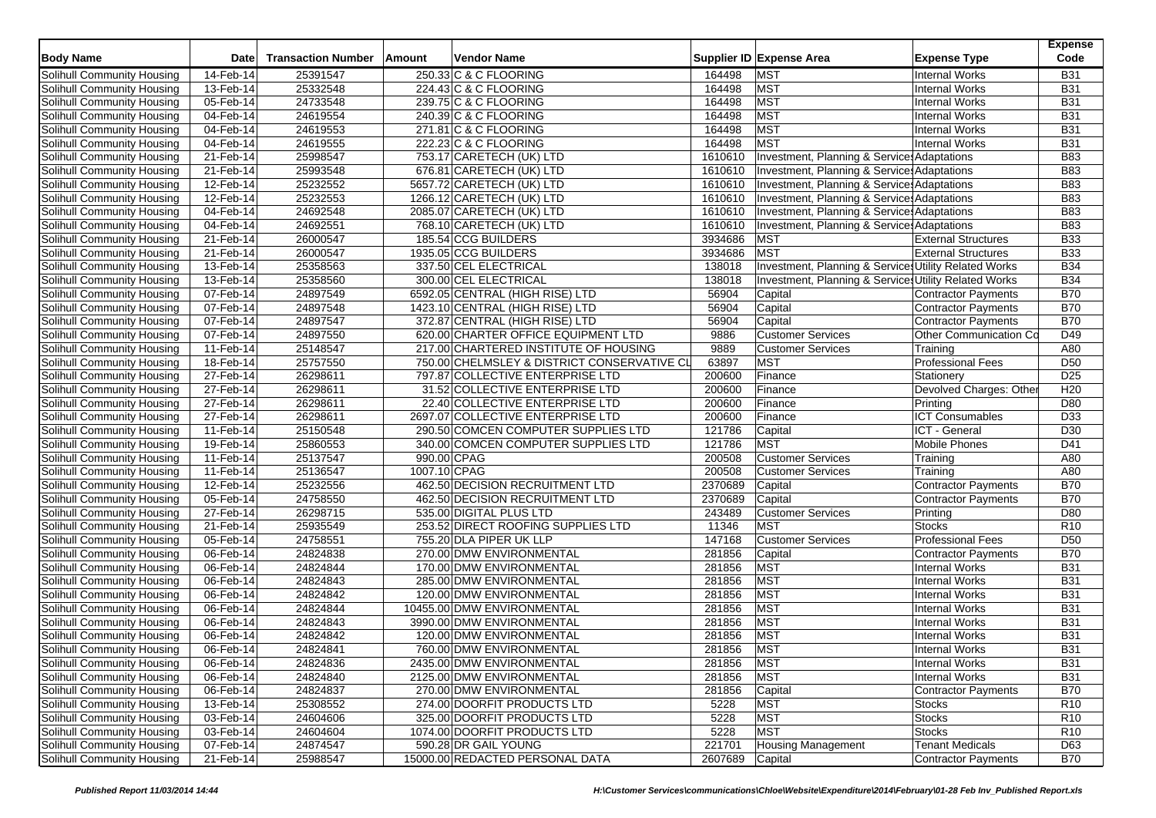| <b>Body Name</b>                  | <b>Date</b>  | <b>Transaction Number</b> | Amount       | <b>Vendor Name</b>                          |         | Supplier ID Expense Area                              | <b>Expense Type</b>        | <b>Expense</b><br>Code |
|-----------------------------------|--------------|---------------------------|--------------|---------------------------------------------|---------|-------------------------------------------------------|----------------------------|------------------------|
| Solihull Community Housing        | 14-Feb-14    | 25391547                  |              | 250.33 C & C FLOORING                       | 164498  | <b>MST</b>                                            | Internal Works             | <b>B31</b>             |
| Solihull Community Housing        | 13-Feb-14    | 25332548                  |              | 224.43 C & C FLOORING                       | 164498  | <b>MST</b>                                            | <b>Internal Works</b>      | <b>B31</b>             |
| Solihull Community Housing        | 05-Feb-14    | 24733548                  |              | 239.75 C & C FLOORING                       | 164498  | <b>MST</b>                                            | <b>Internal Works</b>      | <b>B31</b>             |
| Solihull Community Housing        | 04-Feb-14    | 24619554                  |              | 240.39 C & C FLOORING                       | 164498  | <b>MST</b>                                            | <b>Internal Works</b>      | <b>B31</b>             |
| Solihull Community Housing        | 04-Feb-14    | 24619553                  |              | 271.81 C & C FLOORING                       | 164498  | <b>MST</b>                                            | <b>Internal Works</b>      | <b>B31</b>             |
| Solihull Community Housing        | 04-Feb-14    | 24619555                  |              | 222.23 C & C FLOORING                       | 164498  | <b>MST</b>                                            | <b>Internal Works</b>      | <b>B31</b>             |
| Solihull Community Housing        | 21-Feb-14    | 25998547                  |              | 753.17 CARETECH (UK) LTD                    | 1610610 | Investment, Planning & Services Adaptations           |                            | <b>B83</b>             |
| <b>Solihull Community Housing</b> | 21-Feb-14    | 25993548                  |              | 676.81 CARETECH (UK) LTD                    | 1610610 | Investment, Planning & Services Adaptations           |                            | <b>B83</b>             |
| Solihull Community Housing        | 12-Feb-14    | 25232552                  |              | 5657.72 CARETECH (UK) LTD                   | 1610610 | Investment, Planning & Services Adaptations           |                            | <b>B83</b>             |
| Solihull Community Housing        | 12-Feb-14    | 25232553                  |              | 1266.12 CARETECH (UK) LTD                   | 1610610 | Investment, Planning & Services Adaptations           |                            | <b>B83</b>             |
| Solihull Community Housing        | 04-Feb-14    | 24692548                  |              | 2085.07 CARETECH (UK) LTD                   | 1610610 | Investment, Planning & Services Adaptations           |                            | <b>B83</b>             |
| Solihull Community Housing        | 04-Feb-14    | 24692551                  |              | 768.10 CARETECH (UK) LTD                    | 1610610 | Investment, Planning & Services Adaptations           |                            | <b>B83</b>             |
| Solihull Community Housing        | 21-Feb-14    | 26000547                  |              | 185.54 CCG BUILDERS                         | 3934686 | <b>MST</b>                                            | <b>External Structures</b> | <b>B33</b>             |
| Solihull Community Housing        | 21-Feb-14    | 26000547                  |              | 1935.05 CCG BUILDERS                        | 3934686 | <b>MST</b>                                            | <b>External Structures</b> | <b>B33</b>             |
| Solihull Community Housing        | 13-Feb-14    | 25358563                  |              | 337.50 CEL ELECTRICAL                       | 138018  | Investment, Planning & Services Utility Related Works |                            | <b>B34</b>             |
| Solihull Community Housing        | 13-Feb-14    | 25358560                  |              | 300.00 CEL ELECTRICAL                       | 138018  | Investment, Planning & Services Utility Related Works |                            | <b>B34</b>             |
| Solihull Community Housing        | 07-Feb-14    | 24897549                  |              | 6592.05 CENTRAL (HIGH RISE) LTD             | 56904   | Capital                                               | Contractor Payments        | <b>B70</b>             |
| Solihull Community Housing        | 07-Feb-14    | 24897548                  |              | 1423.10 CENTRAL (HIGH RISE) LTD             | 56904   | Capital                                               | <b>Contractor Payments</b> | <b>B70</b>             |
| Solihull Community Housing        | 07-Feb-14    | 24897547                  |              | 372.87 CENTRAL (HIGH RISE) LTD              | 56904   | Capital                                               | <b>Contractor Payments</b> | <b>B70</b>             |
| Solihull Community Housing        | 07-Feb-14    | 24897550                  |              | 620.00 CHARTER OFFICE EQUIPMENT LTD         | 9886    | <b>Customer Services</b>                              | Other Communication Co     | D49                    |
| Solihull Community Housing        | 11-Feb-14    | 25148547                  |              | 217.00 CHARTERED INSTITUTE OF HOUSING       | 9889    | <b>Customer Services</b>                              | Training                   | A80                    |
| Solihull Community Housing        | 18-Feb-14    | 25757550                  |              | 750.00 CHELMSLEY & DISTRICT CONSERVATIVE CL | 63897   | <b>MST</b>                                            | <b>Professional Fees</b>   | D <sub>50</sub>        |
| Solihull Community Housing        | 27-Feb-14    | 26298611                  |              | 797.87 COLLECTIVE ENTERPRISE LTD            | 200600  | Finance                                               | Stationery                 | D <sub>25</sub>        |
| Solihull Community Housing        | 27-Feb-14    | 26298611                  |              | 31.52 COLLECTIVE ENTERPRISE LTD             | 200600  | Finance                                               | Devolved Charges: Other    | H <sub>20</sub>        |
| Solihull Community Housing        | 27-Feb-14    | 26298611                  |              | 22.40 COLLECTIVE ENTERPRISE LTD             | 200600  | Finance                                               | Printing                   | D80                    |
| Solihull Community Housing        | 27-Feb-14    | 26298611                  |              | 2697.07 COLLECTIVE ENTERPRISE LTD           | 200600  | Finance                                               | <b>ICT</b> Consumables     | D33                    |
| Solihull Community Housing        | 11-Feb-14    | 25150548                  |              | 290.50 COMCEN COMPUTER SUPPLIES LTD         | 121786  | Capital                                               | ICT - General              | D30                    |
| Solihull Community Housing        | 19-Feb-14    | 25860553                  |              | 340.00 COMCEN COMPUTER SUPPLIES LTD         | 121786  | <b>MST</b>                                            | <b>Mobile Phones</b>       | D41                    |
| Solihull Community Housing        | $11$ -Feb-14 | 25137547                  |              | 990.00 CPAG                                 | 200508  | <b>Customer Services</b>                              | Training                   | A80                    |
| Solihull Community Housing        | 11-Feb-14    | 25136547                  | 1007.10 CPAG |                                             | 200508  | <b>Customer Services</b>                              | Training                   | A80                    |
| Solihull Community Housing        | 12-Feb-14    | 25232556                  |              | 462.50 DECISION RECRUITMENT LTD             | 2370689 | Capital                                               | <b>Contractor Payments</b> | <b>B70</b>             |
| Solihull Community Housing        | 05-Feb-14    | 24758550                  |              | 462.50 DECISION RECRUITMENT LTD             | 2370689 | Capital                                               | <b>Contractor Payments</b> | <b>B70</b>             |
| Solihull Community Housing        | 27-Feb-14    | 26298715                  |              | 535.00 DIGITAL PLUS LTD                     | 243489  | <b>Customer Services</b>                              | Printing                   | D80                    |
| Solihull Community Housing        | 21-Feb-14    | 25935549                  |              | 253.52 DIRECT ROOFING SUPPLIES LTD          | 11346   | <b>MST</b>                                            | <b>Stocks</b>              | R <sub>10</sub>        |
| Solihull Community Housing        | 05-Feb-14    | 24758551                  |              | 755.20 DLA PIPER UK LLP                     | 147168  | <b>Customer Services</b>                              | <b>Professional Fees</b>   | D <sub>50</sub>        |
| <b>Solihull Community Housing</b> | 06-Feb-14    | 24824838                  |              | 270.00 DMW ENVIRONMENTAL                    | 281856  | Capital                                               | Contractor Payments        | <b>B70</b>             |
| Solihull Community Housing        | 06-Feb-14    | 24824844                  |              | 170.00 DMW ENVIRONMENTAL                    | 281856  | <b>MST</b>                                            | <b>Internal Works</b>      | <b>B31</b>             |
| Solihull Community Housing        | 06-Feb-14    | 24824843                  |              | 285.00 DMW ENVIRONMENTAL                    | 281856  | <b>MST</b>                                            | <b>Internal Works</b>      | <b>B31</b>             |
| Solihull Community Housing        | 06-Feb-14    | 24824842                  |              | 120.00 DMW ENVIRONMENTAL                    | 281856  | <b>MST</b>                                            | <b>Internal Works</b>      | <b>B31</b>             |
| Solihull Community Housing        | 06-Feb-14    | 24824844                  |              | 10455.00 DMW ENVIRONMENTAL                  | 281856  | <b>MST</b>                                            | <b>Internal Works</b>      | <b>B31</b>             |
| Solihull Community Housing        | 06-Feb-14    | 24824843                  |              | 3990.00 DMW ENVIRONMENTAL                   | 281856  | <b>MST</b>                                            | <b>Internal Works</b>      | <b>B31</b>             |
| Solihull Community Housing        | 06-Feb-14    | 24824842                  |              | 120.00 DMW ENVIRONMENTAL                    | 281856  | <b>MST</b>                                            | <b>Internal Works</b>      | <b>B31</b>             |
| Solihull Community Housing        | 06-Feb-14    | 24824841                  |              | 760.00 DMW ENVIRONMENTAL                    | 281856  | <b>MST</b>                                            | Internal Works             | <b>B31</b>             |
| Solihull Community Housing        | 06-Feb-14    | 24824836                  |              | 2435.00 DMW ENVIRONMENTAL                   | 281856  | MST                                                   | Internal Works             | <b>B31</b>             |
| Solihull Community Housing        | 06-Feb-14    | 24824840                  |              | 2125.00 DMW ENVIRONMENTAL                   | 281856  | <b>MST</b>                                            | Internal Works             | <b>B31</b>             |
| Solihull Community Housing        | 06-Feb-14    | 24824837                  |              | 270.00 DMW ENVIRONMENTAL                    | 281856  | Capital                                               | <b>Contractor Payments</b> | <b>B70</b>             |
| Solihull Community Housing        | 13-Feb-14    | 25308552                  |              | 274.00 DOORFIT PRODUCTS LTD                 | 5228    | <b>MST</b>                                            | <b>Stocks</b>              | R <sub>10</sub>        |
| Solihull Community Housing        | 03-Feb-14    | 24604606                  |              | 325.00 DOORFIT PRODUCTS LTD                 | 5228    | <b>MST</b>                                            | <b>Stocks</b>              | R <sub>10</sub>        |
| Solihull Community Housing        | 03-Feb-14    | 24604604                  |              | 1074.00 DOORFIT PRODUCTS LTD                | 5228    | <b>MST</b>                                            | <b>Stocks</b>              | R <sub>10</sub>        |
| <b>Solihull Community Housing</b> | 07-Feb-14    | 24874547                  |              | 590.28 DR GAIL YOUNG                        | 221701  | <b>Housing Management</b>                             | <b>Tenant Medicals</b>     | D63                    |
| Solihull Community Housing        | 21-Feb-14    | 25988547                  |              | 15000.00 REDACTED PERSONAL DATA             | 2607689 | Capital                                               | Contractor Payments        | <b>B70</b>             |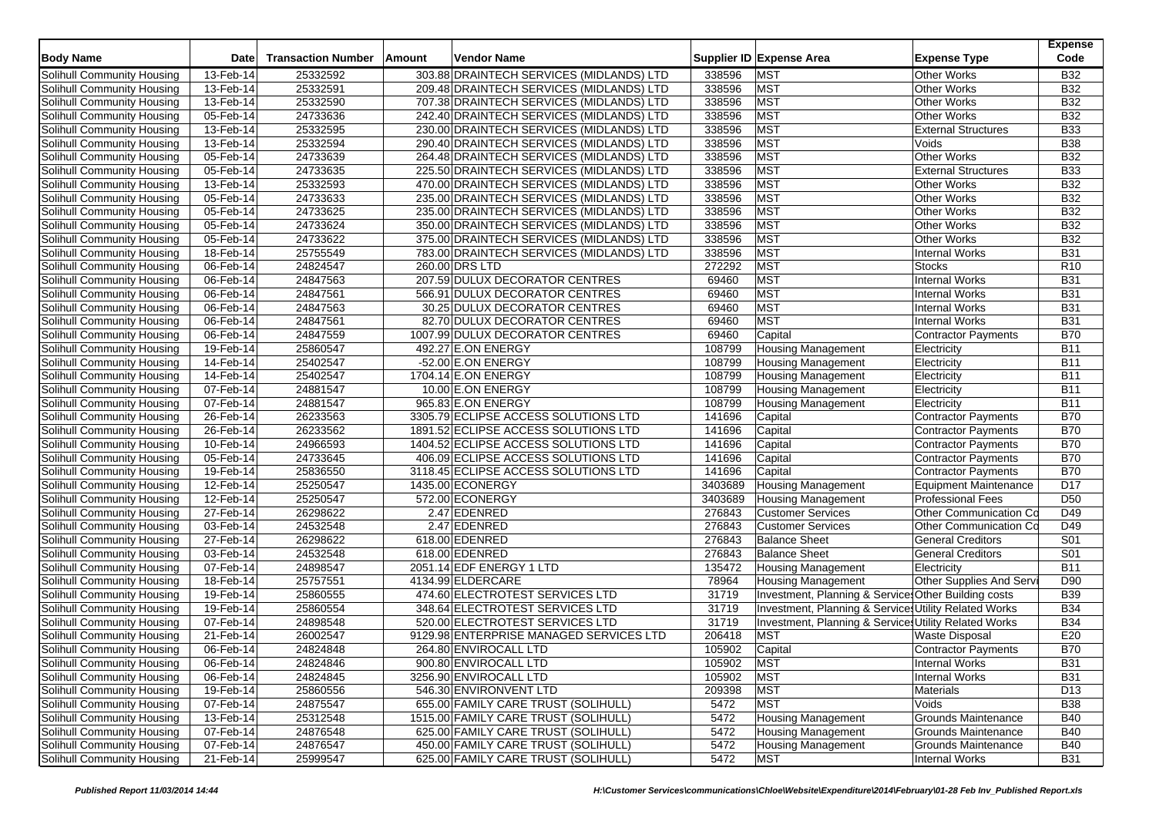| <b>Body Name</b>                                         | <b>Date</b>               | <b>Transaction Number</b> | Amount | <b>Vendor Name</b>                                                          |                  | Supplier ID Expense Area                                                                                       | <b>Expense Type</b>                 | <b>Expense</b><br>Code        |
|----------------------------------------------------------|---------------------------|---------------------------|--------|-----------------------------------------------------------------------------|------------------|----------------------------------------------------------------------------------------------------------------|-------------------------------------|-------------------------------|
| Solihull Community Housing                               | 13-Feb-14                 | 25332592                  |        | 303.88 DRAINTECH SERVICES (MIDLANDS) LTD                                    | 338596           | <b>MST</b>                                                                                                     | <b>Other Works</b>                  | <b>B32</b>                    |
| Solihull Community Housing                               | 13-Feb-14                 | 25332591                  |        | 209.48 DRAINTECH SERVICES (MIDLANDS) LTD                                    | 338596           | <b>MST</b>                                                                                                     | <b>Other Works</b>                  | <b>B32</b>                    |
| Solihull Community Housing                               | 13-Feb-14                 | 25332590                  |        | 707.38 DRAINTECH SERVICES (MIDLANDS) LTD                                    | 338596           | <b>MST</b>                                                                                                     | <b>Other Works</b>                  | <b>B32</b>                    |
| Solihull Community Housing                               | 05-Feb-14                 | 24733636                  |        | 242.40 DRAINTECH SERVICES (MIDLANDS) LTD                                    | 338596           | <b>MST</b>                                                                                                     | <b>Other Works</b>                  | <b>B32</b>                    |
| Solihull Community Housing                               | 13-Feb-14                 | 25332595                  |        | 230.00 DRAINTECH SERVICES (MIDLANDS) LTD                                    | 338596           | <b>MST</b>                                                                                                     | <b>External Structures</b>          | <b>B33</b>                    |
| Solihull Community Housing                               | 13-Feb-14                 | 25332594                  |        | 290.40 DRAINTECH SERVICES (MIDLANDS) LTD                                    | 338596           | <b>MST</b>                                                                                                     | Voids                               | <b>B38</b>                    |
| Solihull Community Housing                               | 05-Feb-14                 | 24733639                  |        | 264.48 DRAINTECH SERVICES (MIDLANDS) LTD                                    | 338596           | <b>MST</b>                                                                                                     | Other Works                         | <b>B32</b>                    |
| <b>Solihull Community Housing</b>                        | 05-Feb-14                 | 24733635                  |        | 225.50 DRAINTECH SERVICES (MIDLANDS) LTD                                    | 338596           | <b>MST</b>                                                                                                     | <b>External Structures</b>          | <b>B33</b>                    |
| Solihull Community Housing                               | 13-Feb-14                 | 25332593                  |        | 470.00 DRAINTECH SERVICES (MIDLANDS) LTD                                    | 338596           | <b>MST</b>                                                                                                     | <b>Other Works</b>                  | <b>B32</b>                    |
| Solihull Community Housing                               | 05-Feb-14                 | 24733633                  |        | 235.00 DRAINTECH SERVICES (MIDLANDS) LTD                                    | 338596           | <b>MST</b>                                                                                                     | Other Works                         | <b>B32</b>                    |
| Solihull Community Housing                               | 05-Feb-14                 | 24733625                  |        | 235.00 DRAINTECH SERVICES (MIDLANDS) LTD                                    | 338596           | <b>MST</b>                                                                                                     | Other Works                         | <b>B32</b>                    |
| Solihull Community Housing                               | 05-Feb-14                 | 24733624                  |        | 350.00 DRAINTECH SERVICES (MIDLANDS) LTD                                    | 338596           | <b>MST</b>                                                                                                     | <b>Other Works</b>                  | <b>B32</b>                    |
| Solihull Community Housing                               | 05-Feb-14                 | 24733622                  |        | 375.00 DRAINTECH SERVICES (MIDLANDS) LTD                                    | 338596           | <b>MST</b>                                                                                                     | Other Works                         | <b>B32</b>                    |
| Solihull Community Housing                               | 18-Feb-14                 | 25755549                  |        | 783.00 DRAINTECH SERVICES (MIDLANDS) LTD                                    | 338596           | <b>MST</b>                                                                                                     | <b>Internal Works</b>               | <b>B31</b>                    |
| Solihull Community Housing                               | 06-Feb-14                 | 24824547                  |        | 260.00 DRS LTD                                                              | 272292           | <b>MST</b>                                                                                                     | <b>Stocks</b>                       | R <sub>10</sub>               |
| Solihull Community Housing                               | 06-Feb-14                 | 24847563                  |        | 207.59 DULUX DECORATOR CENTRES                                              | 69460            | <b>MST</b>                                                                                                     | Internal Works                      | <b>B31</b>                    |
| Solihull Community Housing                               | 06-Feb-14                 | 24847561                  |        | 566.91 DULUX DECORATOR CENTRES                                              | 69460            | <b>MST</b>                                                                                                     | <b>Internal Works</b>               | <b>B31</b>                    |
| Solihull Community Housing                               | 06-Feb-14                 | 24847563                  |        | 30.25 DULUX DECORATOR CENTRES                                               | 69460            | <b>MST</b>                                                                                                     | <b>Internal Works</b>               | <b>B31</b>                    |
| Solihull Community Housing                               | 06-Feb-14                 | 24847561                  |        | 82.70 DULUX DECORATOR CENTRES                                               | 69460            | <b>MST</b>                                                                                                     | <b>Internal Works</b>               | <b>B31</b>                    |
| Solihull Community Housing                               | 06-Feb-14                 | 24847559                  |        | 1007.99 DULUX DECORATOR CENTRES                                             | 69460            | Capital                                                                                                        | <b>Contractor Payments</b>          | <b>B70</b>                    |
| Solihull Community Housing                               | 19-Feb-14                 | 25860547                  |        | 492.27 E.ON ENERGY                                                          | 108799           | <b>Housing Management</b>                                                                                      | Electricity                         | <b>B11</b>                    |
| <b>Solihull Community Housing</b>                        | 14-Feb-14                 | 25402547                  |        | $-52.00$ E.ON ENERGY                                                        | 108799           | <b>Housing Management</b>                                                                                      | Electricity                         | <b>B11</b>                    |
| Solihull Community Housing                               | 14-Feb-14                 | 25402547                  |        | 1704.14 E.ON ENERGY                                                         | 108799           | <b>Housing Management</b>                                                                                      | Electricity                         | <b>B11</b>                    |
| Solihull Community Housing                               | 07-Feb-14                 | 24881547                  |        | 10.00 E.ON ENERGY                                                           | 108799           | <b>Housing Management</b>                                                                                      | Electricity                         | <b>B11</b>                    |
| Solihull Community Housing                               | 07-Feb-14                 | 24881547                  |        | 965.83 E.ON ENERGY                                                          | 108799           | <b>Housing Management</b>                                                                                      | Electricity                         | <b>B11</b>                    |
| Solihull Community Housing                               | 26-Feb-14                 | 26233563                  |        | 3305.79 ECLIPSE ACCESS SOLUTIONS LTD                                        | 141696           | Capital                                                                                                        | Contractor Payments                 | <b>B70</b>                    |
| Solihull Community Housing                               | 26-Feb-14                 | 26233562                  |        | 1891.52 ECLIPSE ACCESS SOLUTIONS LTD                                        | 141696           | Capital                                                                                                        | <b>Contractor Payments</b>          | <b>B70</b>                    |
| Solihull Community Housing                               | 10-Feb-14                 | 24966593                  |        | 1404.52 ECLIPSE ACCESS SOLUTIONS LTD                                        | 141696           | Capital                                                                                                        | <b>Contractor Payments</b>          | <b>B70</b>                    |
| Solihull Community Housing                               | 05-Feb-14                 | 24733645                  |        | 406.09 ECLIPSE ACCESS SOLUTIONS LTD                                         | 141696           | Capital                                                                                                        | Contractor Payments                 | <b>B70</b>                    |
| Solihull Community Housing                               | 19-Feb-14                 | 25836550                  |        | 3118.45 ECLIPSE ACCESS SOLUTIONS LTD                                        | 141696           | Capital                                                                                                        | Contractor Payments                 | <b>B70</b>                    |
| Solihull Community Housing                               | 12-Feb-14                 | 25250547                  |        | 1435.00 ECONERGY                                                            | 3403689          | <b>Housing Management</b>                                                                                      | Equipment Maintenance               | D17                           |
| Solihull Community Housing                               | 12-Feb-14                 | 25250547                  |        | 572.00 ECONERGY                                                             | 3403689          | <b>Housing Management</b>                                                                                      | <b>Professional Fees</b>            | D <sub>50</sub>               |
| Solihull Community Housing                               | $27$ -Feb-14              | 26298622                  |        | 2.47 EDENRED                                                                | 276843           | <b>Customer Services</b>                                                                                       | Other Communication Co              | D49                           |
| Solihull Community Housing                               | 03-Feb-14                 | 24532548                  |        | 2.47 EDENRED                                                                | 276843           | <b>Customer Services</b>                                                                                       | Other Communication Co              | D49                           |
| Solihull Community Housing                               | 27-Feb-14                 | 26298622                  |        | 618.00 EDENRED                                                              | 276843           | <b>Balance Sheet</b>                                                                                           | <b>General Creditors</b>            | S01                           |
| <b>Solihull Community Housing</b>                        | 03-Feb-14                 | 24532548                  |        | 618.00 EDENRED                                                              | 276843           | <b>Balance Sheet</b>                                                                                           | <b>General Creditors</b>            | S <sub>01</sub>               |
| Solihull Community Housing                               | 07-Feb-14                 | 24898547                  |        | 2051.14 EDF ENERGY 1 LTD                                                    | 135472           | Housing Management                                                                                             | Electricity                         | <b>B11</b>                    |
| Solihull Community Housing                               |                           |                           |        | 4134.99 ELDERCARE                                                           | 78964            | <b>Housing Management</b>                                                                                      |                                     | D90                           |
| Solihull Community Housing                               | 18-Feb-14<br>19-Feb-14    | 25757551<br>25860555      |        | 474.60 ELECTROTEST SERVICES LTD                                             | 31719            | Investment, Planning & Service: Other Building costs                                                           | Other Supplies And Serv             | <b>B39</b>                    |
| Solihull Community Housing                               |                           |                           |        |                                                                             | 31719            |                                                                                                                |                                     | <b>B34</b>                    |
|                                                          | 19-Feb-14<br>07-Feb-14    | 25860554<br>24898548      |        | 348.64 ELECTROTEST SERVICES LTD<br>520.00 ELECTROTEST SERVICES LTD          | 31719            | Investment, Planning & Services Utility Related Works<br>Investment, Planning & Services Utility Related Works |                                     | <b>B34</b>                    |
| Solihull Community Housing<br>Solihull Community Housing | 21-Feb-14                 | 26002547                  |        | 9129.98 ENTERPRISE MANAGED SERVICES LTD                                     | 206418           | <b>MST</b>                                                                                                     | <b>Waste Disposal</b>               | E20                           |
| Solihull Community Housing                               |                           | 24824848                  |        |                                                                             | 105902           | Capital                                                                                                        |                                     | <b>B70</b>                    |
| Solihull Community Housing                               | 06-Feb-14                 |                           |        | 264.80 ENVIROCALL LTD                                                       |                  |                                                                                                                | Contractor Payments                 |                               |
|                                                          | 06-Feb-14                 | 24824846                  |        | 900.80 ENVIROCALL LTD<br>3256.90 ENVIROCALL LTD                             | 105902           | MST                                                                                                            | Internal Works                      | <b>B31</b>                    |
| Solihull Community Housing<br>Solihull Community Housing | $06$ -Feb-14<br>19-Feb-14 | 24824845<br>25860556      |        | 546.30 ENVIRONVENT LTD                                                      | 105902<br>209398 | <b>MST</b><br><b>MST</b>                                                                                       | Internal Works<br>Materials         | <b>B31</b><br>D <sub>13</sub> |
|                                                          |                           | 24875547                  |        |                                                                             |                  | <b>MST</b>                                                                                                     |                                     | <b>B</b> 38                   |
| Solihull Community Housing<br>Solihull Community Housing | 07-Feb-14<br>13-Feb-14    | 25312548                  |        | 655.00 FAMILY CARE TRUST (SOLIHULL)<br>1515.00 FAMILY CARE TRUST (SOLIHULL) | 5472<br>5472     | <b>Housing Management</b>                                                                                      | Voids<br><b>Grounds Maintenance</b> | <b>B40</b>                    |
| Solihull Community Housing                               | 07-Feb-14                 | 24876548                  |        | 625.00 FAMILY CARE TRUST (SOLIHULL)                                         | 5472             | <b>Housing Management</b>                                                                                      | Grounds Maintenance                 | <b>B40</b>                    |
| <b>Solihull Community Housing</b>                        | 07-Feb-14                 | 24876547                  |        | 450.00 FAMILY CARE TRUST (SOLIHULL)                                         | 5472             | <b>Housing Management</b>                                                                                      | <b>Grounds Maintenance</b>          | <b>B40</b>                    |
| Solihull Community Housing                               | 21-Feb-14                 | 25999547                  |        | 625.00 FAMILY CARE TRUST (SOLIHULL)                                         | 5472             | <b>MST</b>                                                                                                     | Internal Works                      | <b>B31</b>                    |
|                                                          |                           |                           |        |                                                                             |                  |                                                                                                                |                                     |                               |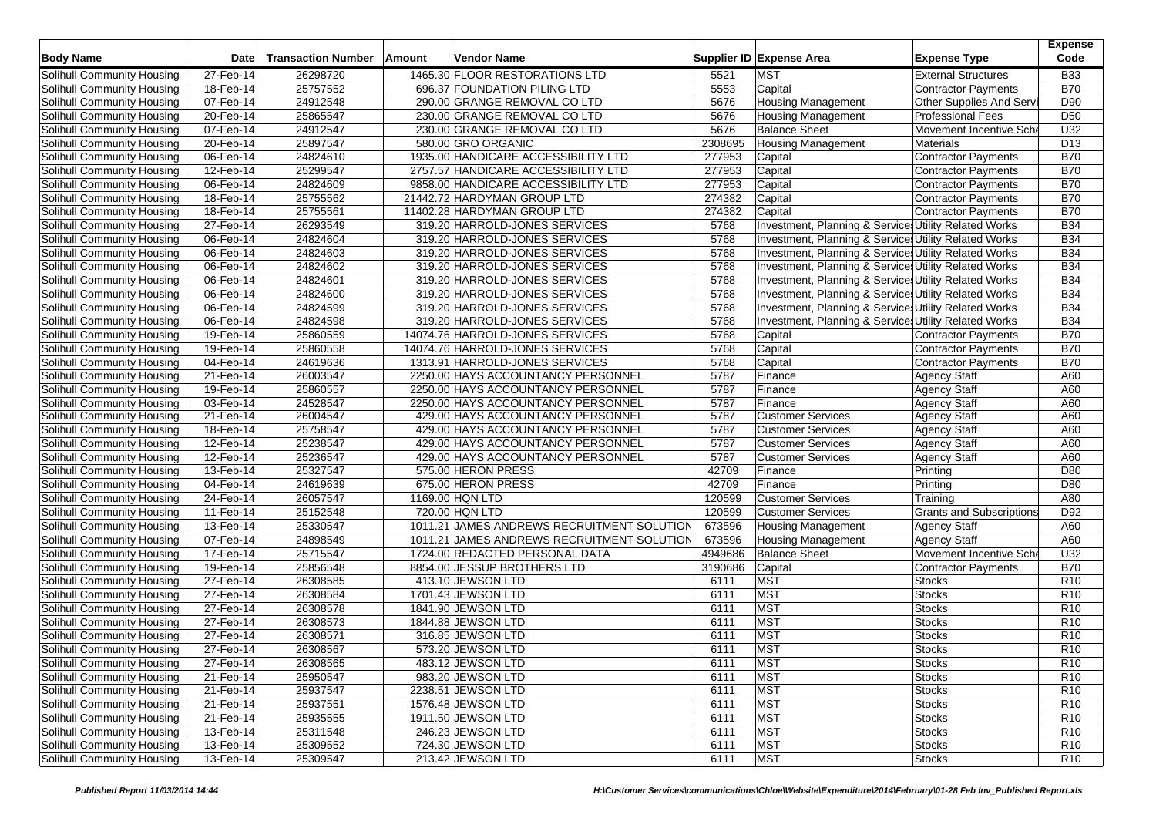| <b>Body Name</b>                                         | <b>Date</b>  | <b>Transaction Number</b> | Amount | <b>Vendor Name</b>                         |         | Supplier ID Expense Area                              | <b>Expense Type</b>             | <b>Expense</b><br>Code |
|----------------------------------------------------------|--------------|---------------------------|--------|--------------------------------------------|---------|-------------------------------------------------------|---------------------------------|------------------------|
| Solihull Community Housing                               | 27-Feb-14    | 26298720                  |        | 1465.30 FLOOR RESTORATIONS LTD             | 5521    | <b>MST</b>                                            | <b>External Structures</b>      | <b>B33</b>             |
| Solihull Community Housing                               | 18-Feb-14    | 25757552                  |        | 696.37 FOUNDATION PILING LTD               | 5553    | Capital                                               | Contractor Payments             | <b>B70</b>             |
| Solihull Community Housing                               | 07-Feb-14    | 24912548                  |        | 290.00 GRANGE REMOVAL CO LTD               | 5676    | <b>Housing Management</b>                             | Other Supplies And Serv         | D90                    |
| Solihull Community Housing                               | 20-Feb-14    | 25865547                  |        | 230.00 GRANGE REMOVAL CO LTD               | 5676    | <b>Housing Management</b>                             | <b>Professional Fees</b>        | D <sub>50</sub>        |
| Solihull Community Housing                               | 07-Feb-14    | 24912547                  |        | 230.00 GRANGE REMOVAL CO LTD               | 5676    | <b>Balance Sheet</b>                                  | Movement Incentive Sche         | U32                    |
| Solihull Community Housing                               | 20-Feb-14    | 25897547                  |        | 580.00 GRO ORGANIC                         | 2308695 | <b>Housing Management</b>                             | Materials                       | D <sub>13</sub>        |
|                                                          |              | 24824610                  |        | 1935.00 HANDICARE ACCESSIBILITY LTD        | 277953  |                                                       |                                 | <b>B70</b>             |
| Solihull Community Housing<br>Solihull Community Housing | 06-Feb-14    | 25299547                  |        |                                            | 277953  | Capital                                               | Contractor Payments             | <b>B70</b>             |
|                                                          | 12-Feb-14    | 24824609                  |        | 2757.57 HANDICARE ACCESSIBILITY LTD        |         | Capital                                               | <b>Contractor Payments</b>      |                        |
| Solihull Community Housing                               | 06-Feb-14    |                           |        | 9858.00 HANDICARE ACCESSIBILITY LTD        | 277953  | Capital                                               | <b>Contractor Payments</b>      | <b>B70</b>             |
| Solihull Community Housing                               | 18-Feb-14    | 25755562                  |        | 21442.72 HARDYMAN GROUP LTD                | 274382  | Capital                                               | Contractor Payments             | <b>B70</b>             |
| Solihull Community Housing                               | 18-Feb-14    | 25755561                  |        | 11402.28 HARDYMAN GROUP LTD                | 274382  | Capital                                               | <b>Contractor Payments</b>      | <b>B70</b>             |
| Solihull Community Housing                               | 27-Feb-14    | 26293549                  |        | 319.20 HARROLD-JONES SERVICES              | 5768    | Investment, Planning & Service: Utility Related Works |                                 | <b>B34</b>             |
| Solihull Community Housing                               | 06-Feb-14    | 24824604                  |        | 319.20 HARROLD-JONES SERVICES              | 5768    | Investment, Planning & Services Utility Related Works |                                 | <b>B34</b>             |
| Solihull Community Housing                               | 06-Feb-14    | 24824603                  |        | 319.20 HARROLD-JONES SERVICES              | 5768    | Investment, Planning & Services Utility Related Works |                                 | <b>B34</b>             |
| Solihull Community Housing                               | 06-Feb-14    | 24824602                  |        | 319.20 HARROLD-JONES SERVICES              | 5768    | Investment, Planning & Services Utility Related Works |                                 | <b>B34</b>             |
| Solihull Community Housing                               | 06-Feb-14    | 24824601                  |        | 319.20 HARROLD-JONES SERVICES              | 5768    | Investment, Planning & Services Utility Related Works |                                 | <b>B34</b>             |
| Solihull Community Housing                               | 06-Feb-14    | 24824600                  |        | 319.20 HARROLD-JONES SERVICES              | 5768    | Investment, Planning & Services Utility Related Works |                                 | <b>B34</b>             |
| Solihull Community Housing                               | 06-Feb-14    | 24824599                  |        | 319.20 HARROLD-JONES SERVICES              | 5768    | Investment, Planning & Services Utility Related Works |                                 | <b>B34</b>             |
| Solihull Community Housing                               | 06-Feb-14    | 24824598                  |        | 319.20 HARROLD-JONES SERVICES              | 5768    | Investment, Planning & Services Utility Related Works |                                 | <b>B34</b>             |
| Solihull Community Housing                               | 19-Feb-14    | 25860559                  |        | 14074.76 HARROLD-JONES SERVICES            | 5768    | Capital                                               | Contractor Payments             | <b>B70</b>             |
| Solihull Community Housing                               | 19-Feb-14    | 25860558                  |        | 14074.76 HARROLD-JONES SERVICES            | 5768    | Capital                                               | <b>Contractor Payments</b>      | <b>B70</b>             |
| Solihull Community Housing                               | 04-Feb-14    | 24619636                  |        | 1313.91 HARROLD-JONES SERVICES             | 5768    | Capital                                               | <b>Contractor Payments</b>      | <b>B70</b>             |
| Solihull Community Housing                               | 21-Feb-14    | 26003547                  |        | 2250.00 HAYS ACCOUNTANCY PERSONNEL         | 5787    | Finance                                               | <b>Agency Staff</b>             | A60                    |
| Solihull Community Housing                               | 19-Feb-14    | 25860557                  |        | 2250.00 HAYS ACCOUNTANCY PERSONNEL         | 5787    | Finance                                               | <b>Agency Staff</b>             | A60                    |
| Solihull Community Housing                               | $03$ -Feb-14 | 24528547                  |        | 2250.00 HAYS ACCOUNTANCY PERSONNEL         | 5787    | Finance                                               | <b>Agency Staff</b>             | A60                    |
| Solihull Community Housing                               | 21-Feb-14    | 26004547                  |        | 429.00 HAYS ACCOUNTANCY PERSONNEL          | 5787    | <b>Customer Services</b>                              | <b>Agency Staff</b>             | A60                    |
| Solihull Community Housing                               | 18-Feb-14    | 25758547                  |        | 429.00 HAYS ACCOUNTANCY PERSONNEL          | 5787    | <b>Customer Services</b>                              | <b>Agency Staff</b>             | A60                    |
| Solihull Community Housing                               | 12-Feb-14    | 25238547                  |        | 429.00 HAYS ACCOUNTANCY PERSONNEL          | 5787    | <b>Customer Services</b>                              | <b>Agency Staff</b>             | A60                    |
| Solihull Community Housing                               | 12-Feb-14    | 25236547                  |        | 429.00 HAYS ACCOUNTANCY PERSONNEL          | 5787    | <b>Customer Services</b>                              | <b>Agency Staff</b>             | A60                    |
| Solihull Community Housing                               | 13-Feb-14    | 25327547                  |        | 575.00 HERON PRESS                         | 42709   | Finance                                               | Printing                        | D80                    |
| Solihull Community Housing                               | 04-Feb-14    | 24619639                  |        | 675.00 HERON PRESS                         | 42709   | Finance                                               | Printing                        | D80                    |
| Solihull Community Housing                               | 24-Feb-14    | 26057547                  |        | 1169.00 HQN LTD                            | 120599  | <b>Customer Services</b>                              | Training                        | A80                    |
| Solihull Community Housing                               | 11-Feb-14    | 25152548                  |        | 720.00 HQN LTD                             | 120599  | <b>Customer Services</b>                              | <b>Grants and Subscriptions</b> | D92                    |
| Solihull Community Housing                               | 13-Feb-14    | 25330547                  |        | 1011.21 JAMES ANDREWS RECRUITMENT SOLUTION | 673596  | <b>Housing Management</b>                             | <b>Agency Staff</b>             | A60                    |
| Solihull Community Housing                               | 07-Feb-14    | 24898549                  |        | 1011.21 JAMES ANDREWS RECRUITMENT SOLUTION | 673596  | <b>Housing Management</b>                             | <b>Agency Staff</b>             | A60                    |
| Solihull Community Housing                               | 17-Feb-14    | 25715547                  |        | 1724.00 REDACTED PERSONAL DATA             | 4949686 | <b>Balance Sheet</b>                                  | Movement Incentive Sche         | U <sub>32</sub>        |
| Solihull Community Housing                               | 19-Feb-14    | 25856548                  |        | 8854.00 JESSUP BROTHERS LTD                | 3190686 | Capital                                               | <b>Contractor Payments</b>      | <b>B70</b>             |
| Solihull Community Housing                               | 27-Feb-14    | 26308585                  |        | 413.10 JEWSON LTD                          | 6111    | <b>MST</b>                                            | Stocks                          | R <sub>10</sub>        |
| Solihull Community Housing                               | 27-Feb-14    | 26308584                  |        | 1701.43 JEWSON LTD                         | 6111    | <b>MST</b>                                            | <b>Stocks</b>                   | R <sub>10</sub>        |
| Solihull Community Housing                               | 27-Feb-14    | 26308578                  |        | 1841.90 JEWSON LTD                         | 6111    | <b>MST</b>                                            | <b>Stocks</b>                   | R <sub>10</sub>        |
| Solihull Community Housing                               | 27-Feb-14    | 26308573                  |        | 1844.88 JEWSON LTD                         | 6111    | <b>MST</b>                                            | <b>Stocks</b>                   | R <sub>10</sub>        |
| Solihull Community Housing                               | 27-Feb-14    | 26308571                  |        | 316.85 JEWSON LTD                          | 6111    | <b>MST</b>                                            | <b>Stocks</b>                   | R <sub>10</sub>        |
| Solihull Community Housing                               | 27-Feb-14    | 26308567                  |        | 573.20 JEWSON LTD                          | 6111    | <b>MST</b>                                            | <b>Stocks</b>                   | R <sub>10</sub>        |
| Solihull Community Housing                               | 27-Feb-14    | 26308565                  |        | 483.12 JEWSON LTD                          | 6111    | <b>MST</b>                                            | <b>Stocks</b>                   | R <sub>10</sub>        |
| Solihull Community Housing                               | $21$ -Feb-14 | 25950547                  |        | 983.20 JEWSON LTD                          | 6111    | <b>MST</b>                                            | <b>Stocks</b>                   | R <sub>10</sub>        |
| Solihull Community Housing                               | 21-Feb-14    | 25937547                  |        | 2238.51 JEWSON LTD                         | 6111    | <b>MST</b>                                            | <b>Stocks</b>                   | R <sub>10</sub>        |
| Solihull Community Housing                               | 21-Feb-14    | 25937551                  |        | 1576.48 JEWSON LTD                         | 6111    | <b>MST</b>                                            | <b>Stocks</b>                   | R <sub>10</sub>        |
| Solihull Community Housing                               | 21-Feb-14    | 25935555                  |        | 1911.50 JEWSON LTD                         | 6111    | <b>MST</b>                                            | <b>Stocks</b>                   | R <sub>10</sub>        |
| Solihull Community Housing                               | 13-Feb-14    | 25311548                  |        | 246.23 JEWSON LTD                          | 6111    | <b>MST</b>                                            | <b>Stocks</b>                   | R <sub>10</sub>        |
| <b>Solihull Community Housing</b>                        | 13-Feb-14    | 25309552                  |        | 724.30 JEWSON LTD                          | 6111    | <b>MST</b>                                            | <b>Stocks</b>                   | R <sub>10</sub>        |
| Solihull Community Housing                               | 13-Feb-14    | 25309547                  |        | 213.42 JEWSON LTD                          | 6111    | <b>MST</b>                                            | <b>Stocks</b>                   | R <sub>10</sub>        |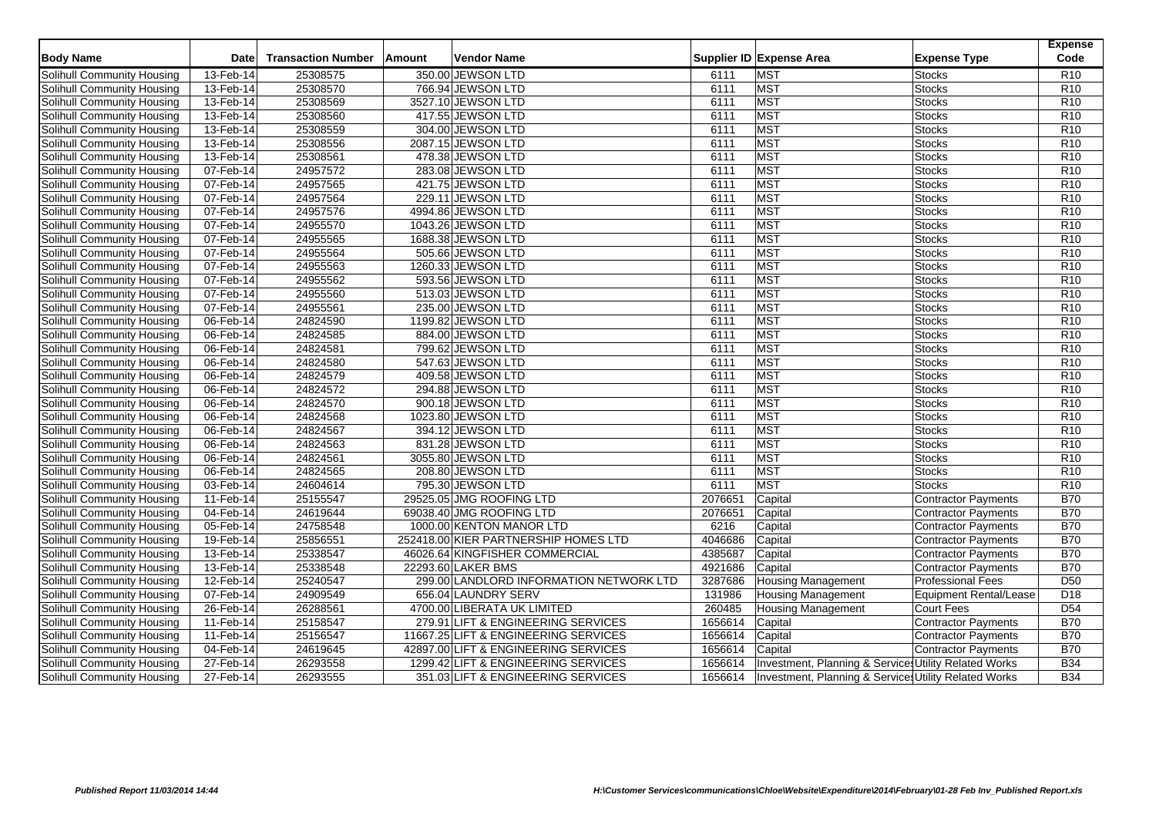|                                   |             |                           |        |                                         |         |                                                       |                               | <b>Expense</b>   |
|-----------------------------------|-------------|---------------------------|--------|-----------------------------------------|---------|-------------------------------------------------------|-------------------------------|------------------|
| <b>Body Name</b>                  | <b>Date</b> | <b>Transaction Number</b> | Amount | <b>Vendor Name</b>                      |         | Supplier ID Expense Area                              | <b>Expense Type</b>           | Code             |
| Solihull Community Housing        | 13-Feb-14   | 25308575                  |        | 350.00 JEWSON LTD                       | 6111    | <b>MST</b>                                            | <b>Stocks</b>                 | R <sub>10</sub>  |
| Solihull Community Housing        | 13-Feb-14   | 25308570                  |        | 766.94 JEWSON LTD                       | 6111    | <b>MST</b>                                            | <b>Stocks</b>                 | R <sub>10</sub>  |
| Solihull Community Housing        | 13-Feb-14   | 25308569                  |        | 3527.10 JEWSON LTD                      | 6111    | <b>MST</b>                                            | <b>Stocks</b>                 | R <sub>10</sub>  |
| Solihull Community Housing        | 13-Feb-14   | 25308560                  |        | 417.55 JEWSON LTD                       | 6111    | <b>MST</b>                                            | <b>Stocks</b>                 | R <sub>10</sub>  |
| Solihull Community Housing        | 13-Feb-14   | 25308559                  |        | 304.00 JEWSON LTD                       | 6111    | <b>MST</b>                                            | <b>Stocks</b>                 | R <sub>10</sub>  |
| Solihull Community Housing        | 13-Feb-14   | 25308556                  |        | 2087.15 JEWSON LTD                      | 6111    | <b>MST</b>                                            | <b>Stocks</b>                 | R <sub>10</sub>  |
| Solihull Community Housing        | 13-Feb-14   | 25308561                  |        | 478.38 JEWSON LTD                       | 6111    | <b>MST</b>                                            | <b>Stocks</b>                 | R <sub>10</sub>  |
| <b>Solihull Community Housing</b> | 07-Feb-14   | 24957572                  |        | 283.08 JEWSON LTD                       | 6111    | <b>MST</b>                                            | <b>Stocks</b>                 | R <sub>10</sub>  |
| <b>Solihull Community Housing</b> | 07-Feb-14   | 24957565                  |        | 421.75 JEWSON LTD                       | 6111    | <b>MST</b>                                            | <b>Stocks</b>                 | R <sub>10</sub>  |
| Solihull Community Housing        | 07-Feb-14   | 24957564                  |        | 229.11 JEWSON LTD                       | 6111    | <b>MST</b>                                            | <b>Stocks</b>                 | R <sub>10</sub>  |
| Solihull Community Housing        | 07-Feb-14   | 24957576                  |        | 4994.86 JEWSON LTD                      | 6111    | <b>MST</b>                                            | <b>Stocks</b>                 | R <sub>10</sub>  |
| Solihull Community Housing        | 07-Feb-14   | 24955570                  |        | 1043.26 JEWSON LTD                      | 6111    | <b>MST</b>                                            | <b>Stocks</b>                 | R <sub>10</sub>  |
| Solihull Community Housing        | 07-Feb-14   | 24955565                  |        | 1688.38 JEWSON LTD                      | 6111    | <b>MST</b>                                            | <b>Stocks</b>                 | R <sub>10</sub>  |
| Solihull Community Housing        | 07-Feb-14   | 24955564                  |        | 505.66 JEWSON LTD                       | 6111    | <b>MST</b>                                            | <b>Stocks</b>                 | R <sub>10</sub>  |
| Solihull Community Housing        | 07-Feb-14   | 24955563                  |        | 1260.33 JEWSON LTD                      | 6111    | <b>MST</b>                                            | <b>Stocks</b>                 | R10              |
| Solihull Community Housing        | 07-Feb-14   | 24955562                  |        | 593.56 JEWSON LTD                       | 6111    | <b>MST</b>                                            | <b>Stocks</b>                 | R <sub>10</sub>  |
| <b>Solihull Community Housing</b> | 07-Feb-14   | 24955560                  |        | 513.03 JEWSON LTD                       | 6111    | <b>MST</b>                                            | <b>Stocks</b>                 | R <sub>10</sub>  |
| Solihull Community Housing        | 07-Feb-14   | 24955561                  |        | 235.00 JEWSON LTD                       | 6111    | <b>MST</b>                                            | <b>Stocks</b>                 | R <sub>10</sub>  |
| Solihull Community Housing        | 06-Feb-14   | 24824590                  |        | 1199.82 JEWSON LTD                      | 6111    | <b>MST</b>                                            | <b>Stocks</b>                 | R <sub>10</sub>  |
| Solihull Community Housing        | 06-Feb-14   | 24824585                  |        | 884.00 JEWSON LTD                       | 6111    | <b>MST</b>                                            | <b>Stocks</b>                 | R <sub>10</sub>  |
| Solihull Community Housing        | 06-Feb-14   | 24824581                  |        | 799.62 JEWSON LTD                       | 6111    | <b>MST</b>                                            | <b>Stocks</b>                 | R <sub>10</sub>  |
| <b>Solihull Community Housing</b> | 06-Feb-14   | 24824580                  |        | 547.63 JEWSON LTD                       | 6111    | <b>MST</b>                                            | <b>Stocks</b>                 | R <sub>10</sub>  |
| Solihull Community Housing        | 06-Feb-14   | 24824579                  |        | 409.58 JEWSON LTD                       | 6111    | <b>MST</b>                                            | <b>Stocks</b>                 | R <sub>10</sub>  |
| <b>Solihull Community Housing</b> | 06-Feb-14   | 24824572                  |        | 294.88 JEWSON LTD                       | 6111    | <b>MST</b>                                            | <b>Stocks</b>                 | R <sub>10</sub>  |
| Solihull Community Housing        | 06-Feb-14   | 24824570                  |        | 900.18 JEWSON LTD                       | 6111    | <b>MST</b>                                            | <b>Stocks</b>                 | R <sub>10</sub>  |
| Solihull Community Housing        | 06-Feb-14   | 24824568                  |        | 1023.80 JEWSON LTD                      | 6111    | <b>MST</b>                                            | <b>Stocks</b>                 | R <sub>10</sub>  |
| Solihull Community Housing        | 06-Feb-14   | 24824567                  |        | 394.12 JEWSON LTD                       | 6111    | <b>MST</b>                                            | <b>Stocks</b>                 | R <sub>10</sub>  |
| Solihull Community Housing        | 06-Feb-14   | 24824563                  |        | 831.28 JEWSON LTD                       | 6111    | <b>MST</b>                                            | Stocks                        | R <sub>10</sub>  |
| Solihull Community Housing        | 06-Feb-14   | 24824561                  |        | 3055.80 JEWSON LTD                      | 6111    | <b>MST</b>                                            | <b>Stocks</b>                 | R <sub>10</sub>  |
| Solihull Community Housing        | 06-Feb-14   | 24824565                  |        | 208.80 JEWSON LTD                       | 6111    | <b>MST</b>                                            | <b>Stocks</b>                 | R <sub>10</sub>  |
| Solihull Community Housing        | 03-Feb-14   | 24604614                  |        | 795.30 JEWSON LTD                       | 6111    | <b>MST</b>                                            | <b>Stocks</b>                 | R10              |
| Solihull Community Housing        | 11-Feb-14   | 25155547                  |        | 29525.05 JMG ROOFING LTD                | 2076651 | Capital                                               | <b>Contractor Payments</b>    | <b>B70</b>       |
| Solihull Community Housing        | 04-Feb-14   | 24619644                  |        | 69038.40 JMG ROOFING LTD                | 2076651 | Capital                                               | <b>Contractor Payments</b>    | <b>B70</b>       |
| Solihull Community Housing        | 05-Feb-14   | 24758548                  |        | 1000.00 KENTON MANOR LTD                | 6216    | Capital                                               | Contractor Payments           | <b>B70</b>       |
| Solihull Community Housing        | 19-Feb-14   | 25856551                  |        | 252418.00 KIER PARTNERSHIP HOMES LTD    | 4046686 | Capital                                               | <b>Contractor Payments</b>    | <b>B70</b>       |
| Solihull Community Housing        | 13-Feb-14   | 25338547                  |        | 46026.64 KINGFISHER COMMERCIAL          | 4385687 | Capital                                               | Contractor Payments           | <b>B70</b>       |
| <b>Solihull Community Housing</b> | 13-Feb-14   | 25338548                  |        | 22293.60 LAKER BMS                      | 4921686 | Capital                                               | <b>Contractor Payments</b>    | <b>B70</b>       |
| Solihull Community Housing        | 12-Feb-14   | 25240547                  |        | 299.00 LANDLORD INFORMATION NETWORK LTD | 3287686 | <b>Housing Management</b>                             | <b>Professional Fees</b>      | D <sub>50</sub>  |
| Solihull Community Housing        | 07-Feb-14   | 24909549                  |        | 656.04 LAUNDRY SERV                     | 131986  | <b>Housing Management</b>                             | <b>Equipment Rental/Lease</b> | D <sub>18</sub>  |
| Solihull Community Housing        | 26-Feb-14   | 26288561                  |        | 4700.00 LIBERATA UK LIMITED             | 260485  | <b>Housing Management</b>                             | Court Fees                    | $\overline{D54}$ |
| Solihull Community Housing        | 11-Feb-14   | 25158547                  |        | 279.91 LIFT & ENGINEERING SERVICES      | 1656614 | Capital                                               | <b>Contractor Payments</b>    | <b>B70</b>       |
| Solihull Community Housing        | 11-Feb-14   | 25156547                  |        | 11667.25 LIFT & ENGINEERING SERVICES    | 1656614 | Capital                                               | Contractor Payments           | <b>B70</b>       |
| <b>Solihull Community Housing</b> | 04-Feb-14   | 24619645                  |        | 42897.00 LIFT & ENGINEERING SERVICES    | 1656614 | Capital                                               | <b>Contractor Payments</b>    | <b>B70</b>       |
| Solihull Community Housing        | 27-Feb-14   | 26293558                  |        | 1299.42 LIFT & ENGINEERING SERVICES     | 1656614 | Investment, Planning & Services Utility Related Works |                               | <b>B34</b>       |
| Solihull Community Housing        | 27-Feb-14   | 26293555                  |        | 351.03 LIFT & ENGINEERING SERVICES      | 1656614 | Investment, Planning & Services Utility Related Works |                               | <b>B34</b>       |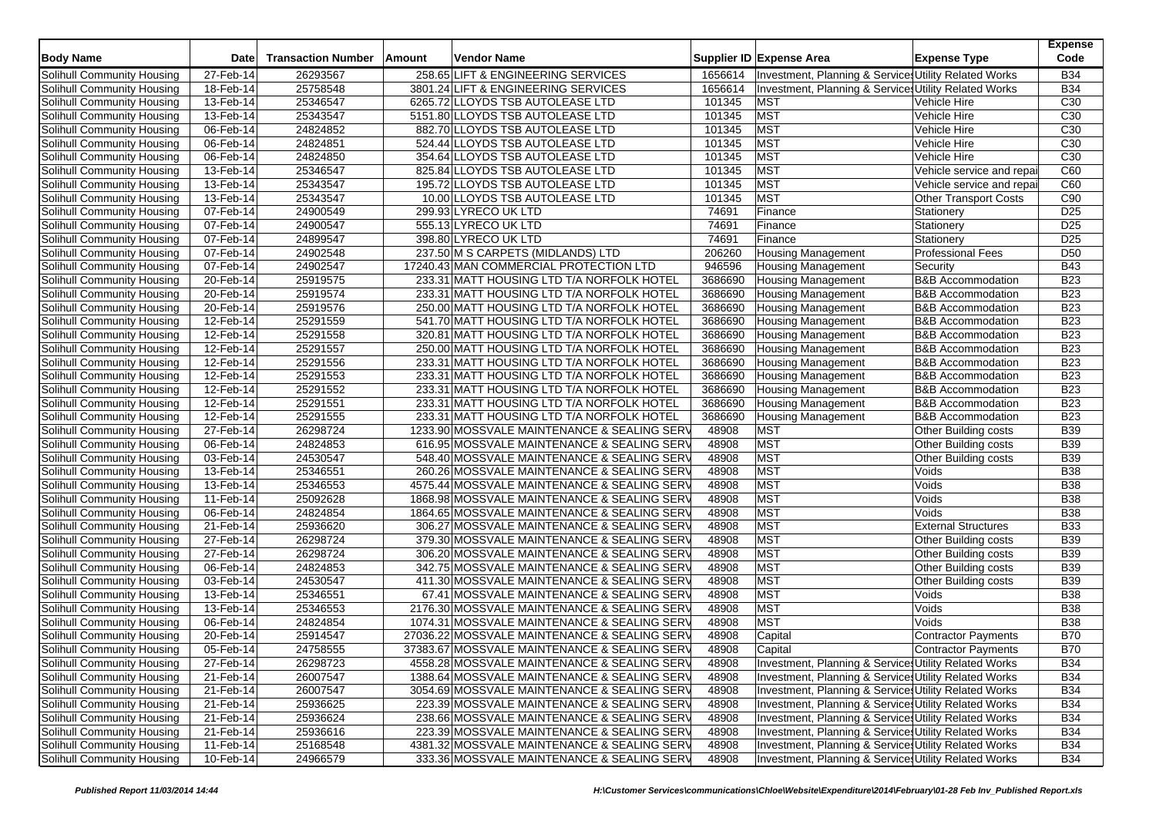| <b>Body Name</b>           | <b>Date</b>  | <b>Transaction Number</b> | Amount | <b>Vendor Name</b>                     |                                              |         | Supplier ID Expense Area                              | <b>Expense Type</b>          | <b>Expense</b><br>Code |
|----------------------------|--------------|---------------------------|--------|----------------------------------------|----------------------------------------------|---------|-------------------------------------------------------|------------------------------|------------------------|
| Solihull Community Housing | 27-Feb-14    | 26293567                  |        | 258.65 LIFT & ENGINEERING SERVICES     |                                              | 1656614 | Investment, Planning & Services Utility Related Works |                              | <b>B34</b>             |
| Solihull Community Housing | 18-Feb-14    | 25758548                  |        | 3801.24 LIFT & ENGINEERING SERVICES    |                                              | 1656614 | Investment, Planning & Services Utility Related Works |                              | <b>B34</b>             |
| Solihull Community Housing | 13-Feb-14    | 25346547                  |        | 6265.72 LLOYDS TSB AUTOLEASE LTD       |                                              | 101345  | <b>MST</b>                                            | Vehicle Hire                 | C <sub>30</sub>        |
| Solihull Community Housing | 13-Feb-14    | 25343547                  |        | 5151.80 LLOYDS TSB AUTOLEASE LTD       |                                              | 101345  | MST                                                   | Vehicle Hire                 | C <sub>30</sub>        |
| Solihull Community Housing | 06-Feb-14    | 24824852                  |        | 882.70 LLOYDS TSB AUTOLEASE LTD        |                                              | 101345  | <b>MST</b>                                            | Vehicle Hire                 | C30                    |
| Solihull Community Housing | 06-Feb-14    | 24824851                  |        | 524.44 LLOYDS TSB AUTOLEASE LTD        |                                              | 101345  | <b>MST</b>                                            | Vehicle Hire                 | C <sub>30</sub>        |
| Solihull Community Housing | 06-Feb-14    | 24824850                  |        | 354.64 LLOYDS TSB AUTOLEASE LTD        |                                              | 101345  | <b>MST</b>                                            | Vehicle Hire                 | C <sub>30</sub>        |
| Solihull Community Housing | 13-Feb-14    | 25346547                  |        | 825.84 LLOYDS TSB AUTOLEASE LTD        |                                              | 101345  | <b>MST</b>                                            | Vehicle service and repai    | C60                    |
| Solihull Community Housing | 13-Feb-14    | 25343547                  |        | 195.72 LLOYDS TSB AUTOLEASE LTD        |                                              | 101345  | <b>MST</b>                                            | Vehicle service and repai    | C60                    |
| Solihull Community Housing | 13-Feb-14    | 25343547                  |        | 10.00 LLOYDS TSB AUTOLEASE LTD         |                                              | 101345  | <b>MST</b>                                            | <b>Other Transport Costs</b> | C90                    |
| Solihull Community Housing | 07-Feb-14    | 24900549                  |        | 299.93 LYRECO UK LTD                   |                                              | 74691   | Finance                                               | Stationery                   | D <sub>25</sub>        |
| Solihull Community Housing | 07-Feb-14    | 24900547                  |        | 555.13 LYRECO UK LTD                   |                                              | 74691   | Finance                                               | Stationery                   | D <sub>25</sub>        |
| Solihull Community Housing | 07-Feb-14    | 24899547                  |        | 398.80 LYRECO UK LTD                   |                                              | 74691   | Finance                                               | Stationery                   | D <sub>25</sub>        |
| Solihull Community Housing | 07-Feb-14    | 24902548                  |        | 237.50 M S CARPETS (MIDLANDS) LTD      |                                              | 206260  | <b>Housing Management</b>                             | <b>Professional Fees</b>     | D <sub>50</sub>        |
| Solihull Community Housing | 07-Feb-14    | 24902547                  |        | 17240.43 MAN COMMERCIAL PROTECTION LTD |                                              | 946596  | <b>Housing Management</b>                             | Security                     | <b>B43</b>             |
| Solihull Community Housing | 20-Feb-14    | 25919575                  |        |                                        | 233.31 MATT HOUSING LTD T/A NORFOLK HOTEL    | 3686690 | <b>Housing Management</b>                             | <b>B&amp;B</b> Accommodation | <b>B23</b>             |
| Solihull Community Housing | 20-Feb-14    | 25919574                  |        |                                        | 233.31 MATT HOUSING LTD T/A NORFOLK HOTEL    | 3686690 | <b>Housing Management</b>                             | <b>B&amp;B</b> Accommodation | <b>B23</b>             |
| Solihull Community Housing | 20-Feb-14    | 25919576                  |        |                                        | 250.00 MATT HOUSING LTD T/A NORFOLK HOTEL    | 3686690 | <b>Housing Management</b>                             | <b>B&amp;B Accommodation</b> | <b>B23</b>             |
| Solihull Community Housing | 12-Feb-14    | 25291559                  |        |                                        | 541.70 MATT HOUSING LTD T/A NORFOLK HOTEL    | 3686690 | <b>Housing Management</b>                             | <b>B&amp;B Accommodation</b> | <b>B23</b>             |
| Solihull Community Housing | 12-Feb-14    | 25291558                  |        |                                        | 320.81 MATT HOUSING LTD T/A NORFOLK HOTEL    | 3686690 | <b>Housing Management</b>                             | <b>B&amp;B Accommodation</b> | <b>B23</b>             |
| Solihull Community Housing | 12-Feb-14    | 25291557                  |        |                                        | 250.00 MATT HOUSING LTD T/A NORFOLK HOTEL    | 3686690 | <b>Housing Management</b>                             | <b>B&amp;B Accommodation</b> | <b>B23</b>             |
| Solihull Community Housing | 12-Feb-14    | 25291556                  |        |                                        | 233.31 MATT HOUSING LTD T/A NORFOLK HOTEL    | 3686690 | <b>Housing Management</b>                             | <b>B&amp;B Accommodation</b> | <b>B23</b>             |
| Solihull Community Housing | 12-Feb-14    | 25291553                  |        |                                        | 233.31 MATT HOUSING LTD T/A NORFOLK HOTEL    | 3686690 | <b>Housing Management</b>                             | <b>B&amp;B Accommodation</b> | <b>B23</b>             |
| Solihull Community Housing | $12$ -Feb-14 | 25291552                  |        |                                        | 233.31 MATT HOUSING LTD T/A NORFOLK HOTEL    | 3686690 | <b>Housing Management</b>                             | <b>B&amp;B Accommodation</b> | <b>B23</b>             |
| Solihull Community Housing | 12-Feb-14    | 25291551                  |        |                                        | 233.31 MATT HOUSING LTD T/A NORFOLK HOTEL    | 3686690 | <b>Housing Management</b>                             | <b>B&amp;B Accommodation</b> | <b>B23</b>             |
| Solihull Community Housing | 12-Feb-14    | 25291555                  |        |                                        | 233.31 MATT HOUSING LTD T/A NORFOLK HOTEL    | 3686690 | <b>Housing Management</b>                             | <b>B&amp;B Accommodation</b> | <b>B23</b>             |
| Solihull Community Housing | 27-Feb-14    | 26298724                  |        |                                        | 1233.90 MOSSVALE MAINTENANCE & SEALING SERV  | 48908   | MST                                                   | Other Building costs         | <b>B39</b>             |
| Solihull Community Housing | 06-Feb-14    | 24824853                  |        |                                        | 616.95 MOSSVALE MAINTENANCE & SEALING SERV   | 48908   | <b>MST</b>                                            | Other Building costs         | <b>B39</b>             |
| Solihull Community Housing | 03-Feb-14    | 24530547                  |        |                                        | 548.40 MOSSVALE MAINTENANCE & SEALING SERV   | 48908   | <b>MST</b>                                            | Other Building costs         | <b>B39</b>             |
| Solihull Community Housing | 13-Feb-14    | 25346551                  |        |                                        | 260.26 MOSSVALE MAINTENANCE & SEALING SERV   | 48908   | MST                                                   | Voids                        | <b>B38</b>             |
| Solihull Community Housing | 13-Feb-14    | 25346553                  |        |                                        | 4575.44 MOSSVALE MAINTENANCE & SEALING SERV  | 48908   | MST                                                   | Voids                        | <b>B38</b>             |
| Solihull Community Housing | 11-Feb-14    | 25092628                  |        |                                        | 1868.98 MOSSVALE MAINTENANCE & SEALING SERV  | 48908   | MST                                                   | Voids                        | <b>B38</b>             |
| Solihull Community Housing | $06$ -Feb-14 | 24824854                  |        |                                        | 1864.65 MOSSVALE MAINTENANCE & SEALING SERV  | 48908   | <b>MST</b>                                            | Voids                        | <b>B38</b>             |
| Solihull Community Housing | 21-Feb-14    | 25936620                  |        |                                        | 306.27 MOSSVALE MAINTENANCE & SEALING SERV   | 48908   | MST                                                   | <b>External Structures</b>   | <b>B33</b>             |
| Solihull Community Housing | 27-Feb-14    | 26298724                  |        |                                        | 379.30 MOSSVALE MAINTENANCE & SEALING SERV   | 48908   | MST                                                   | Other Building costs         | <b>B39</b>             |
| Solihull Community Housing | 27-Feb-14    | 26298724                  |        |                                        | 306.20 MOSSVALE MAINTENANCE & SEALING SERV   | 48908   | <b>MST</b>                                            | Other Building costs         | <b>B39</b>             |
| Solihull Community Housing | 06-Feb-14    | 24824853                  |        |                                        | 342.75 MOSSVALE MAINTENANCE & SEALING SERV   | 48908   | MST                                                   | Other Building costs         | <b>B39</b>             |
| Solihull Community Housing | 03-Feb-14    | 24530547                  |        |                                        | 411.30 MOSSVALE MAINTENANCE & SEALING SERV   | 48908   | MST                                                   | Other Building costs         | <b>B39</b>             |
| Solihull Community Housing | 13-Feb-14    | 25346551                  |        |                                        | 67.41 MOSSVALE MAINTENANCE & SEALING SERV    | 48908   | <b>MST</b>                                            | Voids                        | <b>B38</b>             |
| Solihull Community Housing | 13-Feb-14    | 25346553                  |        |                                        | 2176.30 MOSSVALE MAINTENANCE & SEALING SERV  | 48908   | <b>MST</b>                                            | Voids                        | <b>B38</b>             |
| Solihull Community Housing | 06-Feb-14    | 24824854                  |        |                                        | 1074.31 MOSSVALE MAINTENANCE & SEALING SERV  | 48908   | <b>MST</b>                                            | Voids                        | <b>B38</b>             |
| Solihull Community Housing | 20-Feb-14    | 25914547                  |        |                                        | 27036.22 MOSSVALE MAINTENANCE & SEALING SERV | 48908   | Capital                                               | <b>Contractor Payments</b>   | <b>B70</b>             |
| Solihull Community Housing | 05-Feb-14    | 24758555                  |        |                                        | 37383.67 MOSSVALE MAINTENANCE & SEALING SERV | 48908   | Capital                                               | <b>Contractor Payments</b>   | <b>B70</b>             |
| Solihull Community Housing | 27-Feb-14    | 26298723                  |        |                                        | 4558.28 MOSSVALE MAINTENANCE & SEALING SERV  | 48908   | Investment, Planning & Services Utility Related Works |                              | <b>B34</b>             |
| Solihull Community Housing | 21-Feb-14    | 26007547                  |        |                                        | 1388.64 MOSSVALE MAINTENANCE & SEALING SERV  | 48908   | Investment, Planning & Services Utility Related Works |                              | <b>B34</b>             |
| Solihull Community Housing | 21-Feb-14    | 26007547                  |        |                                        | 3054.69 MOSSVALE MAINTENANCE & SEALING SERV  | 48908   | Investment, Planning & Services Utility Related Works |                              | <b>B34</b>             |
| Solihull Community Housing | 21-Feb-14    | 25936625                  |        |                                        | 223.39 MOSSVALE MAINTENANCE & SEALING SERV   | 48908   | Investment, Planning & Services Utility Related Works |                              | <b>B34</b>             |
| Solihull Community Housing | 21-Feb-14    | 25936624                  |        |                                        | 238.66 MOSSVALE MAINTENANCE & SEALING SERV   | 48908   | Investment, Planning & Services Utility Related Works |                              | <b>B34</b>             |
| Solihull Community Housing | 21-Feb-14    | 25936616                  |        |                                        | 223.39 MOSSVALE MAINTENANCE & SEALING SERV   | 48908   | Investment, Planning & Services Utility Related Works |                              | <b>B34</b>             |
| Solihull Community Housing | 11-Feb-14    | 25168548                  |        |                                        | 4381.32 MOSSVALE MAINTENANCE & SEALING SERV  | 48908   | Investment, Planning & Service Utility Related Works  |                              | <b>B34</b>             |
| Solihull Community Housing | 10-Feb-14    | 24966579                  |        |                                        | 333.36 MOSSVALE MAINTENANCE & SEALING SERV   | 48908   | Investment, Planning & Services Utility Related Works |                              | <b>B34</b>             |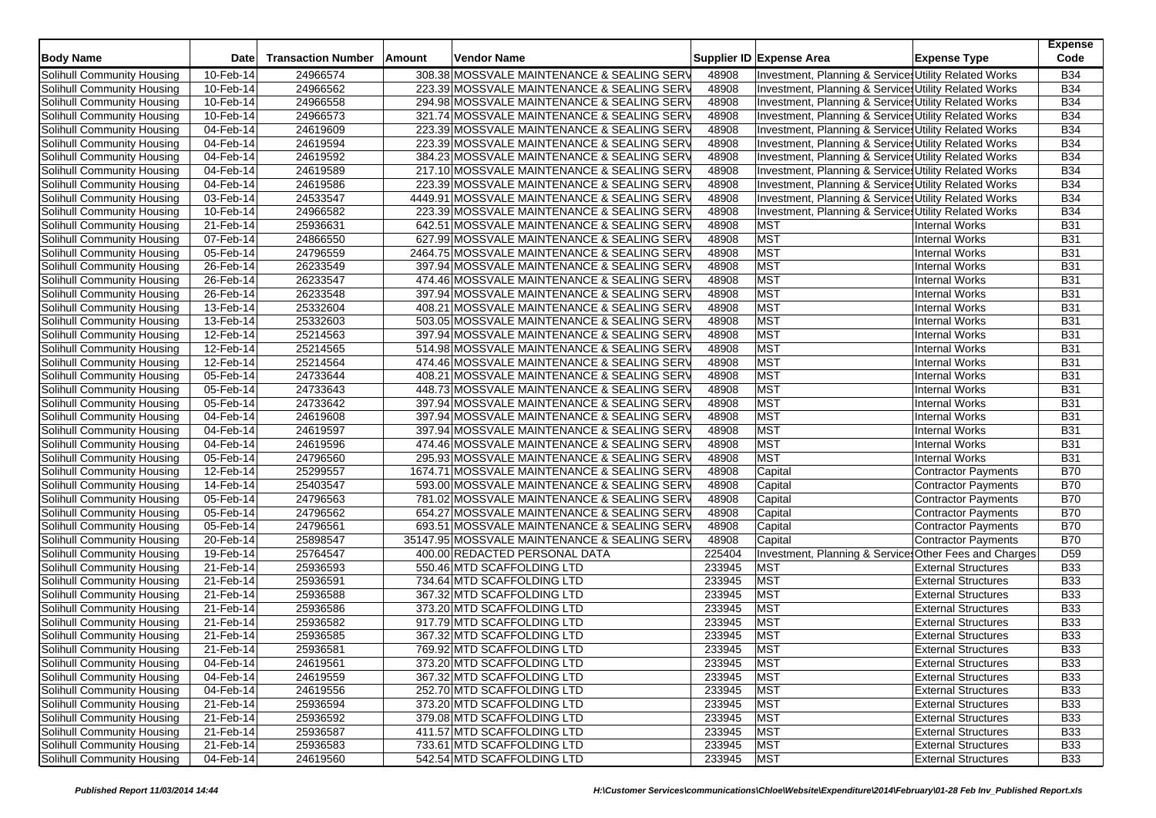| <b>Body Name</b>           | <b>Date</b>            | <b>Transaction Number</b> | Amount | <b>Vendor Name</b>                           |        | Supplier ID Expense Area                               | <b>Expense Type</b>        | <b>Expense</b><br>Code |
|----------------------------|------------------------|---------------------------|--------|----------------------------------------------|--------|--------------------------------------------------------|----------------------------|------------------------|
| Solihull Community Housing | 10-Feb-14              | 24966574                  |        | 308.38 MOSSVALE MAINTENANCE & SEALING SERV   | 48908  | Investment, Planning & Services Utility Related Works  |                            | <b>B34</b>             |
| Solihull Community Housing | 10-Feb-14              | 24966562                  |        | 223.39 MOSSVALE MAINTENANCE & SEALING SERV   | 48908  | Investment, Planning & Services Utility Related Works  |                            | <b>B34</b>             |
| Solihull Community Housing | 10-Feb-14              | 24966558                  |        | 294.98 MOSSVALE MAINTENANCE & SEALING SERV   | 48908  | Investment, Planning & Services Utility Related Works  |                            | <b>B34</b>             |
| Solihull Community Housing | 10-Feb-14              | 24966573                  |        | 321.74 MOSSVALE MAINTENANCE & SEALING SERV   | 48908  | Investment, Planning & Services Utility Related Works  |                            | <b>B34</b>             |
| Solihull Community Housing | 04-Feb-14              | 24619609                  |        | 223.39 MOSSVALE MAINTENANCE & SEALING SERV   | 48908  | Investment, Planning & Services Utility Related Works  |                            | <b>B34</b>             |
| Solihull Community Housing | 04-Feb-14              | 24619594                  |        | 223.39 MOSSVALE MAINTENANCE & SEALING SERV   | 48908  | Investment, Planning & Services Utility Related Works  |                            | <b>B34</b>             |
| Solihull Community Housing | 04-Feb-14              | 24619592                  |        | 384.23 MOSSVALE MAINTENANCE & SEALING SERV   | 48908  | Investment, Planning & Services Utility Related Works  |                            | <b>B34</b>             |
| Solihull Community Housing | 04-Feb-14              | 24619589                  |        | 217.10 MOSSVALE MAINTENANCE & SEALING SERV   | 48908  | Investment, Planning & Services Utility Related Works  |                            | <b>B34</b>             |
| Solihull Community Housing | 04-Feb-14              | 24619586                  |        | 223.39 MOSSVALE MAINTENANCE & SEALING SERV   | 48908  | Investment, Planning & Services Utility Related Works  |                            | <b>B34</b>             |
| Solihull Community Housing | 03-Feb-14              | 24533547                  |        | 4449.91 MOSSVALE MAINTENANCE & SEALING SERV  | 48908  | Investment, Planning & Services Utility Related Works  |                            | <b>B34</b>             |
| Solihull Community Housing | 10-Feb-14              | 24966582                  |        | 223.39 MOSSVALE MAINTENANCE & SEALING SERV   | 48908  | Investment, Planning & Services Utility Related Works  |                            | <b>B34</b>             |
| Solihull Community Housing | 21-Feb-14              | 25936631                  |        | 642.51 MOSSVALE MAINTENANCE & SEALING SERV   | 48908  | <b>MST</b>                                             | <b>Internal Works</b>      | <b>B31</b>             |
| Solihull Community Housing | 07-Feb-14              | 24866550                  |        | 627.99 MOSSVALE MAINTENANCE & SEALING SERV   | 48908  | <b>MST</b>                                             | Internal Works             | <b>B31</b>             |
| Solihull Community Housing | 05-Feb-14              | 24796559                  |        | 2464.75 MOSSVALE MAINTENANCE & SEALING SERV  | 48908  | <b>MST</b>                                             | <b>Internal Works</b>      | <b>B31</b>             |
| Solihull Community Housing | 26-Feb-14              | 26233549                  |        | 397.94 MOSSVALE MAINTENANCE & SEALING SERV   | 48908  | <b>MST</b>                                             | <b>Internal Works</b>      | <b>B31</b>             |
| Solihull Community Housing | 26-Feb-14              | 26233547                  |        | 474.46 MOSSVALE MAINTENANCE & SEALING SERV   | 48908  | <b>MST</b>                                             | Internal Works             | <b>B31</b>             |
| Solihull Community Housing | 26-Feb-14              | 26233548                  |        | 397.94 MOSSVALE MAINTENANCE & SEALING SERV   | 48908  | <b>MST</b>                                             | <b>Internal Works</b>      | <b>B31</b>             |
| Solihull Community Housing | 13-Feb-14              | 25332604                  |        | 408.21 MOSSVALE MAINTENANCE & SEALING SERV   | 48908  | <b>MST</b>                                             | <b>Internal Works</b>      | <b>B31</b>             |
| Solihull Community Housing | 13-Feb-14              | 25332603                  |        | 503.05 MOSSVALE MAINTENANCE & SEALING SERV   | 48908  | <b>MST</b>                                             | <b>Internal Works</b>      | <b>B31</b>             |
| Solihull Community Housing | 12-Feb-14              | 25214563                  |        | 397.94 MOSSVALE MAINTENANCE & SEALING SERV   | 48908  | <b>MST</b>                                             | <b>Internal Works</b>      | <b>B31</b>             |
| Solihull Community Housing | 12-Feb-14              | 25214565                  |        | 514.98 MOSSVALE MAINTENANCE & SEALING SERV   | 48908  | <b>MST</b>                                             | <b>Internal Works</b>      | <b>B31</b>             |
| Solihull Community Housing | 12-Feb-14              | 25214564                  |        | 474.46 MOSSVALE MAINTENANCE & SEALING SERV   | 48908  | <b>MST</b>                                             | <b>Internal Works</b>      | <b>B31</b>             |
| Solihull Community Housing | 05-Feb-14              | 24733644                  |        | 408.21 MOSSVALE MAINTENANCE & SEALING SERV   | 48908  | <b>MST</b>                                             | <b>Internal Works</b>      | <b>B31</b>             |
| Solihull Community Housing | $05$ -Feb-14           | 24733643                  |        | 448.73 MOSSVALE MAINTENANCE & SEALING SERV   | 48908  | <b>MST</b>                                             | Internal Works             | <b>B31</b>             |
| Solihull Community Housing | 05-Feb-14              | 24733642                  |        | 397.94 MOSSVALE MAINTENANCE & SEALING SERV   | 48908  | <b>MST</b>                                             | <b>Internal Works</b>      | <b>B31</b>             |
| Solihull Community Housing | 04-Feb-14              | 24619608                  |        | 397.94 MOSSVALE MAINTENANCE & SEALING SERV   | 48908  | <b>MST</b>                                             | <b>Internal Works</b>      | <b>B31</b>             |
| Solihull Community Housing | 04-Feb-14              | 24619597                  |        | 397.94 MOSSVALE MAINTENANCE & SEALING SERV   | 48908  | <b>MST</b>                                             | <b>Internal Works</b>      | <b>B31</b>             |
| Solihull Community Housing | 04-Feb-14              | 24619596                  |        | 474.46 MOSSVALE MAINTENANCE & SEALING SERV   | 48908  | <b>MST</b>                                             | <b>Internal Works</b>      | <b>B31</b>             |
| Solihull Community Housing | 05-Feb-14              | 24796560                  |        | 295.93 MOSSVALE MAINTENANCE & SEALING SERV   | 48908  | <b>MST</b>                                             | <b>Internal Works</b>      | <b>B31</b>             |
| Solihull Community Housing | 12-Feb-14              | 25299557                  |        | 1674.71 MOSSVALE MAINTENANCE & SEALING SERV  | 48908  | Capital                                                | Contractor Payments        | <b>B70</b>             |
| Solihull Community Housing | 14-Feb-14              | 25403547                  |        | 593.00 MOSSVALE MAINTENANCE & SEALING SERV   | 48908  | Capital                                                | Contractor Payments        | <b>B70</b>             |
| Solihull Community Housing | 05-Feb-14              | 24796563                  |        | 781.02 MOSSVALE MAINTENANCE & SEALING SERV   | 48908  | Capital                                                | <b>Contractor Payments</b> | <b>B70</b>             |
| Solihull Community Housing | 05-Feb-14              | 24796562                  |        | 654.27 MOSSVALE MAINTENANCE & SEALING SERV   | 48908  | Capital                                                | <b>Contractor Payments</b> | <b>B70</b>             |
| Solihull Community Housing | 05-Feb-14              | 24796561                  |        | 693.51 MOSSVALE MAINTENANCE & SEALING SERV   | 48908  | Capital                                                | Contractor Payments        | <b>B70</b>             |
| Solihull Community Housing | 20-Feb-14              | 25898547                  |        | 35147.95 MOSSVALE MAINTENANCE & SEALING SERV | 48908  | Capital                                                | Contractor Payments        | <b>B70</b>             |
| Solihull Community Housing | 19-Feb-14              | 25764547                  |        | 400.00 REDACTED PERSONAL DATA                | 225404 | Investment, Planning & Services Other Fees and Charges |                            | D <sub>59</sub>        |
| Solihull Community Housing | 21-Feb-14              | 25936593                  |        | 550.46 MTD SCAFFOLDING LTD                   | 233945 | <b>MST</b>                                             | <b>External Structures</b> | <b>B33</b>             |
| Solihull Community Housing | 21-Feb-14              | 25936591                  |        | 734.64 MTD SCAFFOLDING LTD                   | 233945 | <b>MST</b>                                             | <b>External Structures</b> | <b>B33</b>             |
| Solihull Community Housing | 21-Feb-14              | 25936588                  |        | 367.32 MTD SCAFFOLDING LTD                   | 233945 | <b>MST</b>                                             | <b>External Structures</b> | <b>B33</b>             |
| Solihull Community Housing | 21-Feb-14              | 25936586                  |        | 373.20 MTD SCAFFOLDING LTD                   | 233945 | <b>MST</b>                                             | <b>External Structures</b> | <b>B33</b>             |
| Solihull Community Housing | 21-Feb-14              | 25936582                  |        | 917.79 MTD SCAFFOLDING LTD                   | 233945 | <b>MST</b>                                             | <b>External Structures</b> | <b>B33</b>             |
| Solihull Community Housing | 21-Feb-14              | 25936585                  |        | 367.32 MTD SCAFFOLDING LTD                   | 233945 | <b>MST</b>                                             | <b>External Structures</b> | <b>B33</b>             |
| Solihull Community Housing | 21-Feb-14              | 25936581                  |        | 769.92 MTD SCAFFOLDING LTD                   | 233945 | <b>MST</b>                                             | <b>External Structures</b> | <b>B33</b>             |
| Solihull Community Housing | 04-Feb-14              | 24619561                  |        | 373.20 MTD SCAFFOLDING LTD                   | 233945 | <b>MST</b>                                             | <b>External Structures</b> | <b>B33</b>             |
| Solihull Community Housing | $\overline{04-Feb-14}$ | 24619559                  |        | 367.32 MTD SCAFFOLDING LTD                   | 233945 | <b>MST</b>                                             | <b>External Structures</b> | <b>B33</b>             |
| Solihull Community Housing | 04-Feb-14              | 24619556                  |        | 252.70 MTD SCAFFOLDING LTD                   | 233945 | <b>MST</b>                                             | <b>External Structures</b> | <b>B33</b>             |
| Solihull Community Housing | 21-Feb-14              | 25936594                  |        | 373.20 MTD SCAFFOLDING LTD                   | 233945 | <b>MST</b>                                             | <b>External Structures</b> | <b>B33</b>             |
| Solihull Community Housing | 21-Feb-14              | 25936592                  |        | 379.08 MTD SCAFFOLDING LTD                   | 233945 | <b>MST</b>                                             | <b>External Structures</b> | <b>B33</b>             |
| Solihull Community Housing | 21-Feb-14              | 25936587                  |        | 411.57 MTD SCAFFOLDING LTD                   | 233945 | <b>MST</b>                                             | <b>External Structures</b> | <b>B33</b>             |
| Solihull Community Housing | 21-Feb-14              | 25936583                  |        | 733.61 MTD SCAFFOLDING LTD                   | 233945 | <b>MST</b>                                             | <b>External Structures</b> | <b>B33</b>             |
| Solihull Community Housing | 04-Feb-14              | 24619560                  |        | 542.54 MTD SCAFFOLDING LTD                   | 233945 | <b>MST</b>                                             | <b>External Structures</b> | <b>B33</b>             |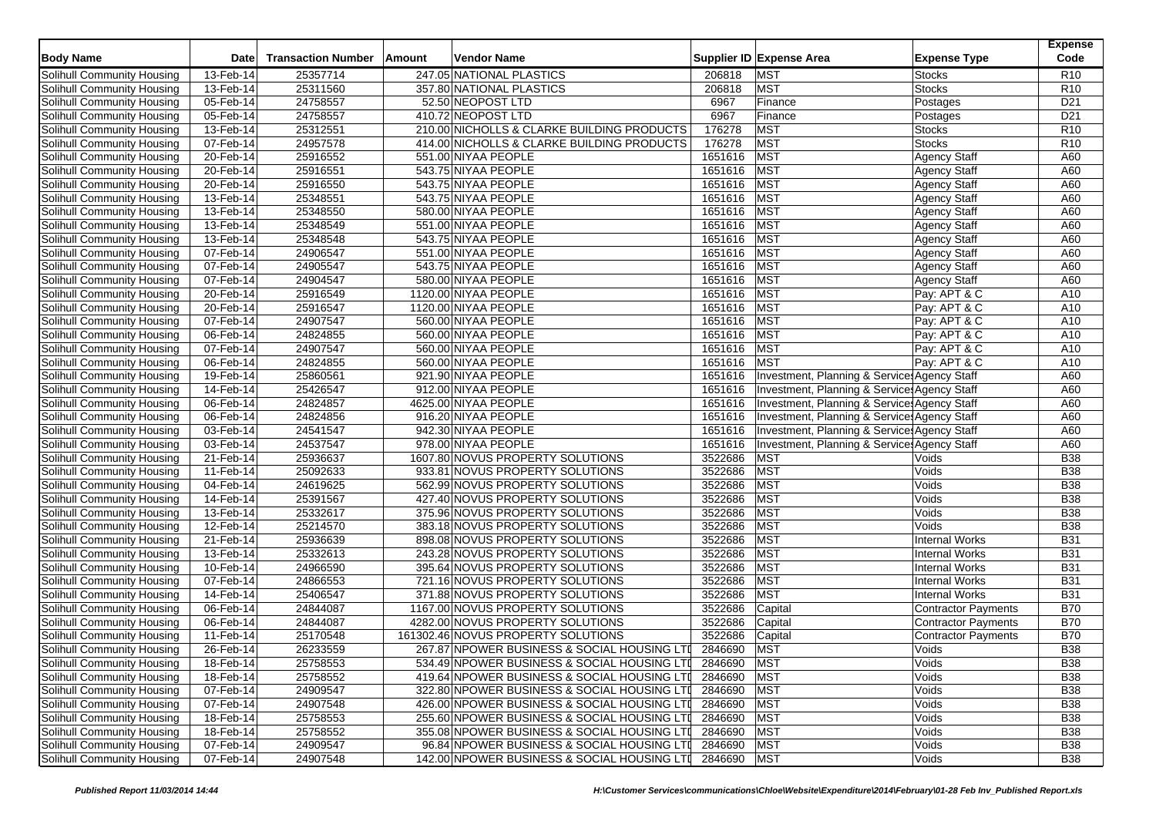| <b>Body Name</b>                                         | <b>Date</b>            | <b>Transaction Number</b> | Amount | <b>Vendor Name</b>                                                   |                    | Supplier ID Expense Area                     | <b>Expense Type</b>        | <b>Expense</b><br>Code   |
|----------------------------------------------------------|------------------------|---------------------------|--------|----------------------------------------------------------------------|--------------------|----------------------------------------------|----------------------------|--------------------------|
| Solihull Community Housing                               | 13-Feb-14              | 25357714                  |        | 247.05 NATIONAL PLASTICS                                             | 206818             | <b>MST</b>                                   | <b>Stocks</b>              | R <sub>10</sub>          |
| Solihull Community Housing                               | 13-Feb-14              | 25311560                  |        | 357.80 NATIONAL PLASTICS                                             | 206818             | MST                                          | <b>Stocks</b>              | R <sub>10</sub>          |
| Solihull Community Housing                               | 05-Feb-14              | 24758557                  |        | 52.50 NEOPOST LTD                                                    | 6967               | Finance                                      | Postages                   | D <sub>21</sub>          |
| Solihull Community Housing                               | 05-Feb-14              | 24758557                  |        | 410.72 NEOPOST LTD                                                   | 6967               | Finance                                      | Postages                   | D <sub>21</sub>          |
| Solihull Community Housing                               | 13-Feb-14              | 25312551                  |        | 210.00 NICHOLLS & CLARKE BUILDING PRODUCTS                           | 176278             | MST                                          | <b>Stocks</b>              | R <sub>10</sub>          |
| Solihull Community Housing                               | 07-Feb-14              | 24957578                  |        | 414.00 NICHOLLS & CLARKE BUILDING PRODUCTS                           | 176278             | <b>MST</b>                                   | <b>Stocks</b>              | R <sub>10</sub>          |
| Solihull Community Housing                               | 20-Feb-14              | 25916552                  |        | 551.00 NIYAA PEOPLE                                                  | 1651616            | MST                                          | <b>Agency Staff</b>        | A60                      |
| Solihull Community Housing                               | 20-Feb-14              | 25916551                  |        | 543.75 NIYAA PEOPLE                                                  | 1651616            | <b>MST</b>                                   | <b>Agency Staff</b>        | A60                      |
| Solihull Community Housing                               | 20-Feb-14              | 25916550                  |        | 543.75 NIYAA PEOPLE                                                  | 1651616            | <b>MST</b>                                   | <b>Agency Staff</b>        | A60                      |
| Solihull Community Housing                               | 13-Feb-14              | 25348551                  |        | 543.75 NIYAA PEOPLE                                                  | 1651616            | <b>MST</b>                                   | <b>Agency Staff</b>        | A60                      |
| Solihull Community Housing                               | 13-Feb-14              | 25348550                  |        | 580.00 NIYAA PEOPLE                                                  | 1651616            | <b>MST</b>                                   | Agency Staff               | A60                      |
| Solihull Community Housing                               | 13-Feb-14              | 25348549                  |        | 551.00 NIYAA PEOPLE                                                  | 1651616            | MST                                          | <b>Agency Staff</b>        | A60                      |
| Solihull Community Housing                               | 13-Feb-14              | 25348548                  |        | 543.75 NIYAA PEOPLE                                                  | 1651616 MST        |                                              | <b>Agency Staff</b>        | A60                      |
| Solihull Community Housing                               | 07-Feb-14              | 24906547                  |        | 551.00 NIYAA PEOPLE                                                  | 1651616            | <b>MST</b>                                   | Agency Staff               | A60                      |
| Solihull Community Housing                               | 07-Feb-14              | 24905547                  |        | 543.75 NIYAA PEOPLE                                                  | 1651616            | MST                                          | <b>Agency Staff</b>        | A60                      |
| Solihull Community Housing                               | 07-Feb-14              | 24904547                  |        | 580.00 NIYAA PEOPLE                                                  | 1651616            | <b>MST</b>                                   | <b>Agency Staff</b>        | A60                      |
| Solihull Community Housing                               | 20-Feb-14              | 25916549                  |        | 1120.00 NIYAA PEOPLE                                                 | 1651616            | <b>MST</b>                                   | Pay: APT & C               | A10                      |
| Solihull Community Housing                               | 20-Feb-14              | 25916547                  |        | 1120.00 NIYAA PEOPLE                                                 | 1651616            | <b>MST</b>                                   | Pay: APT & C               | A10                      |
| Solihull Community Housing                               | 07-Feb-14              | 24907547                  |        | 560.00 NIYAA PEOPLE                                                  | 1651616            | <b>MST</b>                                   | Pay: APT & C               | A10                      |
| Solihull Community Housing                               | 06-Feb-14              | 24824855                  |        | 560.00 NIYAA PEOPLE                                                  | 1651616            | MST                                          | Pay: APT & C               | A10                      |
| Solihull Community Housing                               | 07-Feb-14              | 24907547                  |        | 560.00 NIYAA PEOPLE                                                  | 1651616            | MST                                          | Pay: APT & C               | A10                      |
| Solihull Community Housing                               | 06-Feb-14              | 24824855                  |        | 560.00 NIYAA PEOPLE                                                  | 1651616            | <b>MST</b>                                   | Pay: APT & C               | A10                      |
| Solihull Community Housing                               | 19-Feb-14              | 25860561                  |        | 921.90 NIYAA PEOPLE                                                  | 1651616            | Investment, Planning & Service: Agency Staff |                            | A60                      |
| Solihull Community Housing                               | 14-Feb-14              | 25426547                  |        | 912.00 NIYAA PEOPLE                                                  | 1651616            | Investment, Planning & Service Agency Staff  |                            | A60                      |
|                                                          | 06-Feb-14              | 24824857                  |        | 4625.00 NIYAA PEOPLE                                                 | 1651616            | Investment, Planning & Service: Agency Staff |                            | A60                      |
| Solihull Community Housing<br>Solihull Community Housing |                        |                           |        |                                                                      | 1651616            | Investment, Planning & Service: Agency Staff |                            |                          |
| Solihull Community Housing                               | 06-Feb-14<br>03-Feb-14 | 24824856<br>24541547      |        | 916.20 NIYAA PEOPLE<br>942.30 NIYAA PEOPLE                           | 1651616            | Investment, Planning & Services Agency Staff |                            | A60<br>A60               |
|                                                          | 03-Feb-14              | 24537547                  |        | 978.00 NIYAA PEOPLE                                                  | 1651616            | Investment, Planning & Services Agency Staff |                            | A60                      |
| Solihull Community Housing                               |                        | 25936637                  |        | 1607.80 NOVUS PROPERTY SOLUTIONS                                     | 3522686            | <b>MST</b>                                   | Voids                      | <b>B38</b>               |
| Solihull Community Housing                               | 21-Feb-14              | 25092633                  |        | 933.81 NOVUS PROPERTY SOLUTIONS                                      | 3522686            | <b>MST</b>                                   | Voids                      | <b>B38</b>               |
| Solihull Community Housing                               | 11-Feb-14              |                           |        |                                                                      |                    |                                              |                            |                          |
| Solihull Community Housing                               | 04-Feb-14              | 24619625                  |        | 562.99 NOVUS PROPERTY SOLUTIONS                                      | 3522686            | <b>MST</b>                                   | Voids                      | <b>B</b> 38              |
| Solihull Community Housing                               | 14-Feb-14              | 25391567                  |        | 427.40 NOVUS PROPERTY SOLUTIONS                                      | 3522686            | <b>MST</b>                                   | Voids                      | <b>B38</b>               |
| Solihull Community Housing                               | $13$ -Feb-14           | 25332617                  |        | 375.96 NOVUS PROPERTY SOLUTIONS                                      | 3522686            | <b>MST</b>                                   | Voids                      | <b>B38</b>               |
| Solihull Community Housing                               | 12-Feb-14              | 25214570                  |        | 383.18 NOVUS PROPERTY SOLUTIONS                                      | 3522686            | <b>MST</b>                                   | Voids                      | <b>B38</b>               |
| Solihull Community Housing                               | 21-Feb-14              | 25936639                  |        | 898.08 NOVUS PROPERTY SOLUTIONS                                      | 3522686            | <b>MST</b>                                   | <b>Internal Works</b>      | <b>B31</b>               |
| Solihull Community Housing                               | 13-Feb-14              | 25332613                  |        | 243.28 NOVUS PROPERTY SOLUTIONS                                      | 3522686            | <b>MST</b>                                   | <b>Internal Works</b>      | <b>B31</b>               |
| Solihull Community Housing                               | 10-Feb-14              | 24966590                  |        | 395.64 NOVUS PROPERTY SOLUTIONS                                      | 3522686            | <b>MST</b>                                   | <b>Internal Works</b>      | <b>B31</b>               |
| Solihull Community Housing                               | 07-Feb-14              | 24866553                  |        | 721.16 NOVUS PROPERTY SOLUTIONS<br>371.88 NOVUS PROPERTY SOLUTIONS   | 3522686<br>3522686 | <b>MST</b><br>MST                            | <b>Internal Works</b>      | <b>B31</b><br><b>B31</b> |
| Solihull Community Housing                               | 14-Feb-14              | 25406547                  |        |                                                                      |                    |                                              | <b>Internal Works</b>      | <b>B70</b>               |
| Solihull Community Housing                               | 06-Feb-14<br>06-Feb-14 | 24844087<br>24844087      |        | 1167.00 NOVUS PROPERTY SOLUTIONS<br>4282.00 NOVUS PROPERTY SOLUTIONS | 3522686<br>3522686 | Capital<br>Capital                           | <b>Contractor Payments</b> | <b>B70</b>               |
| Solihull Community Housing                               |                        | 25170548                  |        |                                                                      | 3522686            |                                              | <b>Contractor Payments</b> | <b>B70</b>               |
| Solihull Community Housing                               | 11-Feb-14              |                           |        | 161302.46 NOVUS PROPERTY SOLUTIONS                                   |                    | Capital                                      | <b>Contractor Payments</b> | <b>B38</b>               |
| Solihull Community Housing                               | 26-Feb-14              | 26233559                  |        | 267.87 NPOWER BUSINESS & SOCIAL HOUSING LTI                          | 2846690            | <b>MST</b>                                   | Voids                      |                          |
| Solihull Community Housing                               | 18-Feb-14              | 25758553                  |        | 534.49 NPOWER BUSINESS & SOCIAL HOUSING LTI                          | 2846690 MST        |                                              | Voids                      | <b>B38</b>               |
| Solihull Community Housing                               | $18$ -Feb-14           | 25758552                  |        | 419.64 NPOWER BUSINESS & SOCIAL HOUSING LTI                          | 2846690 MST        |                                              | Voids                      | <b>B38</b>               |
| Solihull Community Housing                               | 07-Feb-14              | 24909547                  |        | 322.80 NPOWER BUSINESS & SOCIAL HOUSING LTI                          | 2846690 MST        |                                              | Voids                      | <b>B38</b>               |
| Solihull Community Housing                               | 07-Feb-14              | 24907548                  |        | 426.00 NPOWER BUSINESS & SOCIAL HOUSING LTI                          | 2846690 MST        |                                              | Voids                      | <b>B38</b>               |
| Solihull Community Housing                               | 18-Feb-14              | 25758553                  |        | 255.60 NPOWER BUSINESS & SOCIAL HOUSING LTI                          | 2846690 MST        |                                              | Voids                      | <b>B38</b>               |
| Solihull Community Housing                               | 18-Feb-14              | 25758552                  |        | 355.08 NPOWER BUSINESS & SOCIAL HOUSING LTI                          | 2846690 MST        |                                              | Voids                      | <b>B38</b>               |
| Solihull Community Housing                               | 07-Feb-14              | 24909547                  |        | 96.84 NPOWER BUSINESS & SOCIAL HOUSING LTI                           | 2846690 MST        |                                              | Voids                      | <b>B38</b>               |
| Solihull Community Housing                               | 07-Feb-14              | 24907548                  |        | 142.00 NPOWER BUSINESS & SOCIAL HOUSING LTI                          | 2846690 MST        |                                              | Voids                      | <b>B38</b>               |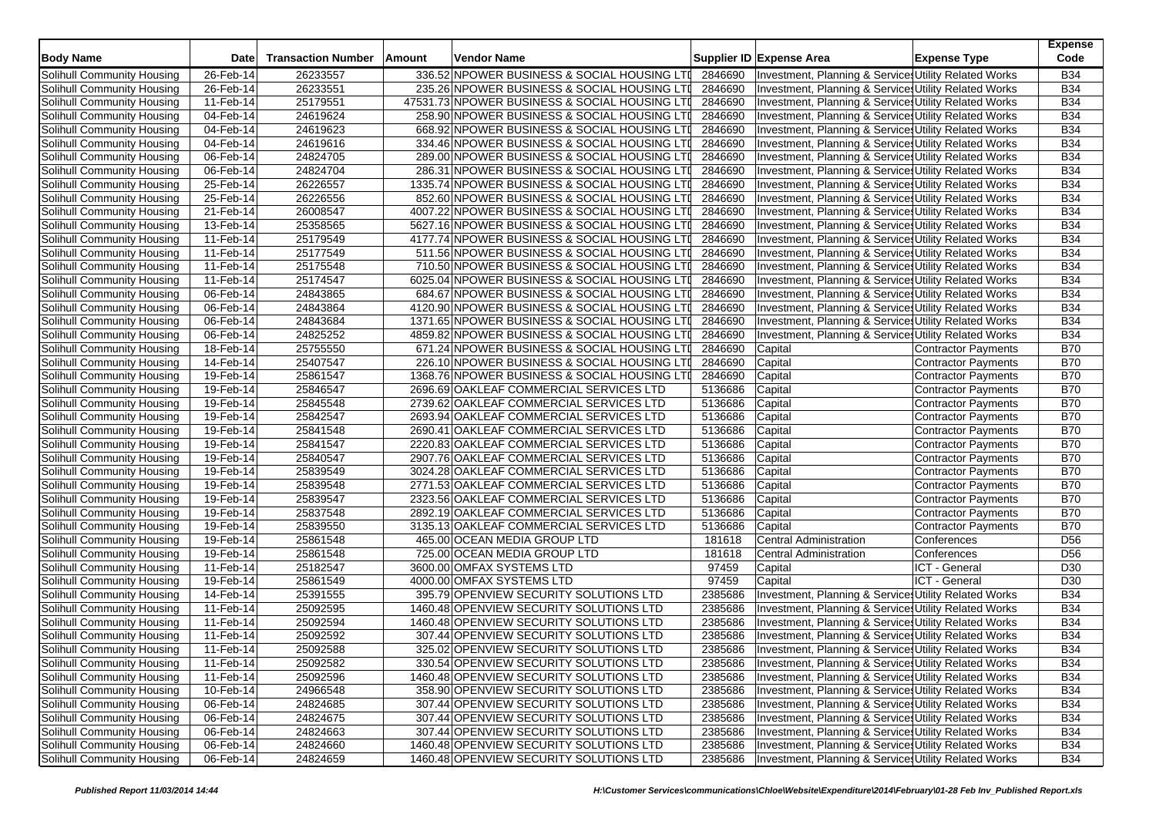| <b>Body Name</b>           | <b>Date</b>             | <b>Transaction Number</b> | Amount | <b>Vendor Name</b>                            |         | Supplier ID Expense Area                              | <b>Expense Type</b>        | <b>Expense</b><br>Code |
|----------------------------|-------------------------|---------------------------|--------|-----------------------------------------------|---------|-------------------------------------------------------|----------------------------|------------------------|
| Solihull Community Housing | 26-Feb-14               | 26233557                  |        | 336.52 NPOWER BUSINESS & SOCIAL HOUSING LTI   | 2846690 | Investment, Planning & Service Utility Related Works  |                            | <b>B34</b>             |
| Solihull Community Housing | 26-Feb-14               | 26233551                  |        | 235.26 NPOWER BUSINESS & SOCIAL HOUSING LTI   | 2846690 | Investment, Planning & Service Utility Related Works  |                            | <b>B34</b>             |
| Solihull Community Housing | 11-Feb-14               | 25179551                  |        | 47531.73 NPOWER BUSINESS & SOCIAL HOUSING LTI | 2846690 | Investment, Planning & Services Utility Related Works |                            | <b>B34</b>             |
| Solihull Community Housing | 04-Feb-14               | 24619624                  |        | 258.90 NPOWER BUSINESS & SOCIAL HOUSING LTI   | 2846690 | Investment, Planning & Service Utility Related Works  |                            | <b>B34</b>             |
| Solihull Community Housing | 04-Feb-14               | 24619623                  |        | 668.92 NPOWER BUSINESS & SOCIAL HOUSING LTI   | 2846690 | Investment, Planning & Services Utility Related Works |                            | <b>B34</b>             |
| Solihull Community Housing | 04-Feb-14               | 24619616                  |        | 334.46 NPOWER BUSINESS & SOCIAL HOUSING LTI   | 2846690 | Investment, Planning & Services Utility Related Works |                            | <b>B34</b>             |
| Solihull Community Housing | 06-Feb-14               | 24824705                  |        | 289.00 NPOWER BUSINESS & SOCIAL HOUSING LTI   | 2846690 | Investment, Planning & Service Utility Related Works  |                            | <b>B34</b>             |
| Solihull Community Housing | 06-Feb-14               | 24824704                  |        | 286.31 NPOWER BUSINESS & SOCIAL HOUSING LTI   | 2846690 | Investment, Planning & Services Utility Related Works |                            | <b>B34</b>             |
| Solihull Community Housing | 25-Feb-14               | 26226557                  |        | 1335.74 NPOWER BUSINESS & SOCIAL HOUSING LTI  | 2846690 | Investment, Planning & Services Utility Related Works |                            | <b>B34</b>             |
| Solihull Community Housing | 25-Feb-14               | 26226556                  |        | 852.60 NPOWER BUSINESS & SOCIAL HOUSING LTI   | 2846690 | Investment, Planning & Service Utility Related Works  |                            | <b>B34</b>             |
| Solihull Community Housing | 21-Feb-14               | 26008547                  |        | 4007.22 NPOWER BUSINESS & SOCIAL HOUSING LTI  | 2846690 | Investment, Planning & Services Utility Related Works |                            | <b>B34</b>             |
| Solihull Community Housing | 13-Feb-14               | 25358565                  |        | 5627.16 NPOWER BUSINESS & SOCIAL HOUSING LTI  | 2846690 | Investment, Planning & Services Utility Related Works |                            | <b>B34</b>             |
| Solihull Community Housing | 11-Feb-14               | 25179549                  |        | 4177.74 NPOWER BUSINESS & SOCIAL HOUSING LTI  | 2846690 | Investment, Planning & Services Utility Related Works |                            | <b>B34</b>             |
| Solihull Community Housing | 11-Feb-14               | 25177549                  |        | 511.56 NPOWER BUSINESS & SOCIAL HOUSING LTI   | 2846690 | Investment, Planning & Services Utility Related Works |                            | <b>B34</b>             |
| Solihull Community Housing | 11-Feb-14               | 25175548                  |        | 710.50 NPOWER BUSINESS & SOCIAL HOUSING LTI   | 2846690 | Investment, Planning & Services Utility Related Works |                            | <b>B34</b>             |
| Solihull Community Housing | 11-Feb-14               | 25174547                  |        | 6025.04 NPOWER BUSINESS & SOCIAL HOUSING LTI  | 2846690 | Investment, Planning & Services Utility Related Works |                            | <b>B34</b>             |
| Solihull Community Housing | 06-Feb-14               | 24843865                  |        | 684.67 NPOWER BUSINESS & SOCIAL HOUSING LTI   | 2846690 | Investment, Planning & Services Utility Related Works |                            | <b>B34</b>             |
| Solihull Community Housing | 06-Feb-14               | 24843864                  |        | 4120.90 NPOWER BUSINESS & SOCIAL HOUSING LTI  | 2846690 | Investment, Planning & Services Utility Related Works |                            | <b>B34</b>             |
| Solihull Community Housing | 06-Feb-14               | 24843684                  |        | 1371.65 NPOWER BUSINESS & SOCIAL HOUSING LTI  | 2846690 | Investment, Planning & Services Utility Related Works |                            | <b>B34</b>             |
| Solihull Community Housing | 06-Feb-14               | 24825252                  |        | 4859.82 NPOWER BUSINESS & SOCIAL HOUSING LTI  | 2846690 | Investment, Planning & Services Utility Related Works |                            | <b>B34</b>             |
| Solihull Community Housing | 18-Feb-14               | 25755550                  |        | 671.24 NPOWER BUSINESS & SOCIAL HOUSING LTI   | 2846690 | Capital                                               | <b>Contractor Payments</b> | <b>B70</b>             |
| Solihull Community Housing | 14-Feb-14               | 25407547                  |        | 226.10 NPOWER BUSINESS & SOCIAL HOUSING LTI   | 2846690 | Capital                                               | <b>Contractor Payments</b> | <b>B70</b>             |
| Solihull Community Housing | 19-Feb-14               | 25861547                  |        | 1368.76 NPOWER BUSINESS & SOCIAL HOUSING LTI  | 2846690 | Capital                                               | <b>Contractor Payments</b> | <b>B70</b>             |
| Solihull Community Housing | 19-Feb-14               | 25846547                  |        | 2696.69 OAKLEAF COMMERCIAL SERVICES LTD       | 5136686 | Capital                                               | <b>Contractor Payments</b> | <b>B70</b>             |
| Solihull Community Housing | 19-Feb-14               | 25845548                  |        | 2739.62 OAKLEAF COMMERCIAL SERVICES LTD       | 5136686 | Capital                                               | Contractor Payments        | <b>B70</b>             |
| Solihull Community Housing | 19-Feb-14               | 25842547                  |        | 2693.94 OAKLEAF COMMERCIAL SERVICES LTD       | 5136686 | Capital                                               | Contractor Payments        | <b>B70</b>             |
| Solihull Community Housing | 19-Feb-14               | 25841548                  |        | 2690.41 OAKLEAF COMMERCIAL SERVICES LTD       | 5136686 | Capital                                               | <b>Contractor Payments</b> | <b>B70</b>             |
| Solihull Community Housing | 19-Feb-14               | 25841547                  |        | 2220.83 OAKLEAF COMMERCIAL SERVICES LTD       | 5136686 | Capital                                               | <b>Contractor Payments</b> | <b>B70</b>             |
| Solihull Community Housing | 19-Feb-14               | 25840547                  |        | 2907.76 OAKLEAF COMMERCIAL SERVICES LTD       | 5136686 | Capital                                               | Contractor Payments        | <b>B70</b>             |
| Solihull Community Housing | 19-Feb-14               | 25839549                  |        | 3024.28 OAKLEAF COMMERCIAL SERVICES LTD       | 5136686 | Capital                                               | <b>Contractor Payments</b> | <b>B70</b>             |
| Solihull Community Housing | $19$ -Feb-14            | 25839548                  |        | 2771.53 OAKLEAF COMMERCIAL SERVICES LTD       | 5136686 | Capital                                               | <b>Contractor Payments</b> | <b>B70</b>             |
| Solihull Community Housing | 19-Feb-14               | 25839547                  |        | 2323.56 OAKLEAF COMMERCIAL SERVICES LTD       | 5136686 | Capital                                               | <b>Contractor Payments</b> | <b>B70</b>             |
| Solihull Community Housing | $19$ -Feb-14            | 25837548                  |        | 2892.19 OAKLEAF COMMERCIAL SERVICES LTD       | 5136686 | Capital                                               | <b>Contractor Payments</b> | <b>B70</b>             |
| Solihull Community Housing | 19-Feb-14               | 25839550                  |        | 3135.13 OAKLEAF COMMERCIAL SERVICES LTD       | 5136686 | Capital                                               | Contractor Payments        | <b>B70</b>             |
| Solihull Community Housing | 19-Feb-14               | 25861548                  |        | 465.00 OCEAN MEDIA GROUP LTD                  | 181618  | <b>Central Administration</b>                         | Conferences                | D <sub>56</sub>        |
| Solihull Community Housing | 19-Feb-14               | 25861548                  |        | 725.00 OCEAN MEDIA GROUP LTD                  | 181618  | <b>Central Administration</b>                         | Conferences                | D <sub>56</sub>        |
| Solihull Community Housing | 11-Feb-14               | 25182547                  |        | 3600.00 OMFAX SYSTEMS LTD                     | 97459   | Capital                                               | ICT - General              | D30                    |
| Solihull Community Housing | 19-Feb-14               | 25861549                  |        | 4000.00 OMFAX SYSTEMS LTD                     | 97459   | Capital                                               | ICT - General              | D30                    |
| Solihull Community Housing | 14-Feb-14               | 25391555                  |        | 395.79 OPENVIEW SECURITY SOLUTIONS LTD        | 2385686 | Investment, Planning & Services Utility Related Works |                            | <b>B34</b>             |
| Solihull Community Housing | $\overline{11}$ -Feb-14 | 25092595                  |        | 1460.48 OPENVIEW SECURITY SOLUTIONS LTD       | 2385686 | Investment, Planning & Services Utility Related Works |                            | <b>B34</b>             |
| Solihull Community Housing | 11-Feb-14               | 25092594                  |        | 1460.48 OPENVIEW SECURITY SOLUTIONS LTD       | 2385686 | Investment, Planning & Services Utility Related Works |                            | <b>B34</b>             |
| Solihull Community Housing | 11-Feb-14               | 25092592                  |        | 307.44 OPENVIEW SECURITY SOLUTIONS LTD        | 2385686 | Investment, Planning & Services Utility Related Works |                            | <b>B34</b>             |
| Solihull Community Housing | 11-Feb-14               | 25092588                  |        | 325.02 OPENVIEW SECURITY SOLUTIONS LTD        | 2385686 | Investment, Planning & Services Utility Related Works |                            | <b>B34</b>             |
| Solihull Community Housing | 11-Feb-14               | 25092582                  |        | 330.54 OPENVIEW SECURITY SOLUTIONS LTD        | 2385686 | Investment, Planning & Service Utility Related Works  |                            | <b>B34</b>             |
| Solihull Community Housing | 11-Feb-14               | 25092596                  |        | 1460.48 OPENVIEW SECURITY SOLUTIONS LTD       | 2385686 | Investment, Planning & Services Utility Related Works |                            | <b>B34</b>             |
| Solihull Community Housing | 10-Feb-14               | 24966548                  |        | 358.90 OPENVIEW SECURITY SOLUTIONS LTD        | 2385686 | Investment, Planning & Services Utility Related Works |                            | <b>B34</b>             |
| Solihull Community Housing | 06-Feb-14               | 24824685                  |        | 307.44 OPENVIEW SECURITY SOLUTIONS LTD        | 2385686 | Investment, Planning & Services Utility Related Works |                            | <b>B34</b>             |
| Solihull Community Housing | 06-Feb-14               | 24824675                  |        | 307.44 OPENVIEW SECURITY SOLUTIONS LTD        | 2385686 | Investment, Planning & Services Utility Related Works |                            | <b>B34</b>             |
| Solihull Community Housing | 06-Feb-14               | 24824663                  |        | 307.44 OPENVIEW SECURITY SOLUTIONS LTD        | 2385686 | Investment, Planning & Services Utility Related Works |                            | <b>B34</b>             |
| Solihull Community Housing | 06-Feb-14               | 24824660                  |        | 1460.48 OPENVIEW SECURITY SOLUTIONS LTD       | 2385686 | Investment, Planning & Services Utility Related Works |                            | <b>B34</b>             |
| Solihull Community Housing | 06-Feb-14               | 24824659                  |        | 1460.48 OPENVIEW SECURITY SOLUTIONS LTD       | 2385686 | Investment, Planning & Services Utility Related Works |                            | <b>B34</b>             |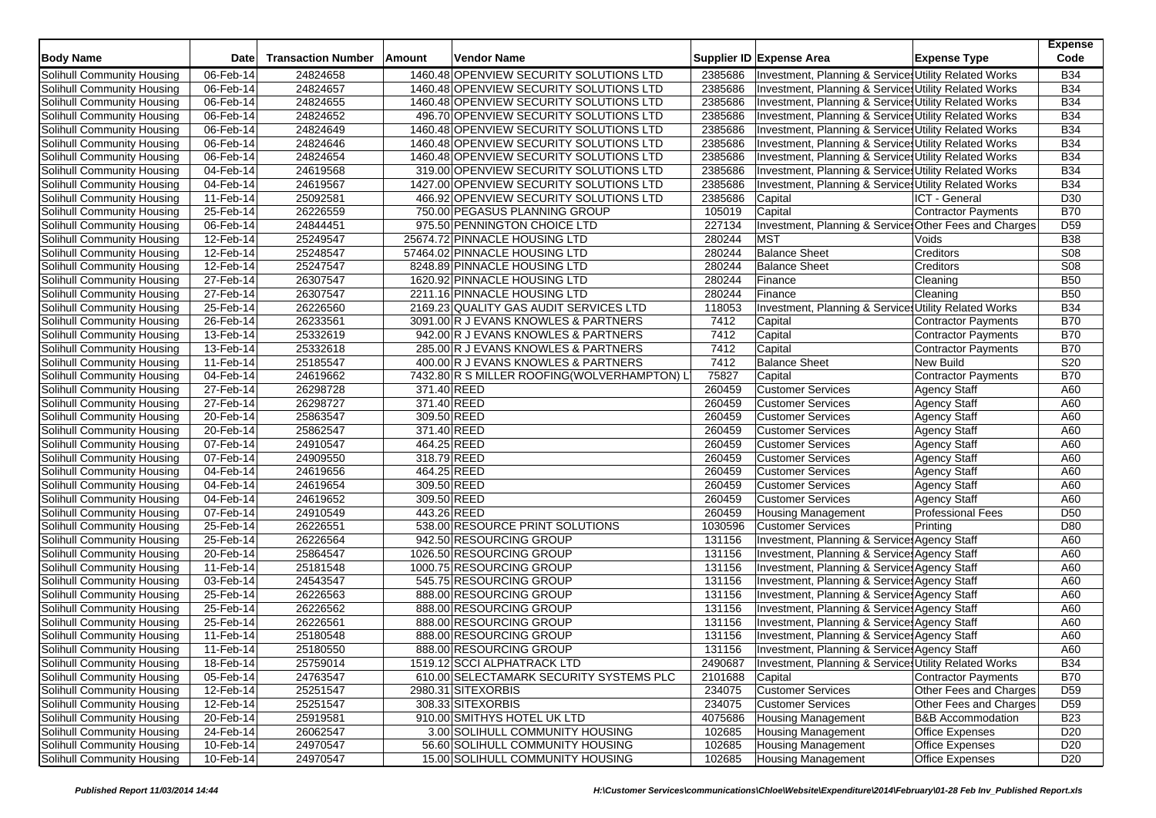| <b>Body Name</b>                  | <b>Date</b>  | <b>Transaction Number</b> | Amount      | <b>Vendor Name</b>                          |         | Supplier ID Expense Area                              | <b>Expense Type</b>          | <b>Expense</b><br>Code |
|-----------------------------------|--------------|---------------------------|-------------|---------------------------------------------|---------|-------------------------------------------------------|------------------------------|------------------------|
| Solihull Community Housing        | 06-Feb-14    | 24824658                  |             | 1460.48 OPENVIEW SECURITY SOLUTIONS LTD     | 2385686 | Investment, Planning & Services Utility Related Works |                              | <b>B34</b>             |
| Solihull Community Housing        | 06-Feb-14    | 24824657                  |             | 1460.48 OPENVIEW SECURITY SOLUTIONS LTD     | 2385686 | Investment, Planning & Service Utility Related Works  |                              | <b>B34</b>             |
| Solihull Community Housing        | 06-Feb-14    | 24824655                  |             | 1460.48 OPENVIEW SECURITY SOLUTIONS LTD     | 2385686 | Investment, Planning & Services Utility Related Works |                              | <b>B34</b>             |
| Solihull Community Housing        | 06-Feb-14    | 24824652                  |             | 496.70 OPENVIEW SECURITY SOLUTIONS LTD      | 2385686 | Investment, Planning & Services Utility Related Works |                              | <b>B34</b>             |
| Solihull Community Housing        | 06-Feb-14    | 24824649                  |             | 1460.48 OPENVIEW SECURITY SOLUTIONS LTD     | 2385686 | Investment, Planning & Services Utility Related Works |                              | <b>B34</b>             |
| Solihull Community Housing        | 06-Feb-14    | 24824646                  |             | 1460.48 OPENVIEW SECURITY SOLUTIONS LTD     | 2385686 | Investment, Planning & Services Utility Related Works |                              | <b>B34</b>             |
| Solihull Community Housing        | 06-Feb-14    | 24824654                  |             | 1460.48 OPENVIEW SECURITY SOLUTIONS LTD     | 2385686 | Investment, Planning & Services Utility Related Works |                              | <b>B34</b>             |
| Solihull Community Housing        | 04-Feb-14    | 24619568                  |             | 319.00 OPENVIEW SECURITY SOLUTIONS LTD      | 2385686 | Investment, Planning & Services Utility Related Works |                              | <b>B34</b>             |
| Solihull Community Housing        | 04-Feb-14    | 24619567                  |             | 1427.00 OPENVIEW SECURITY SOLUTIONS LTD     | 2385686 | Investment, Planning & Services Utility Related Works |                              | <b>B34</b>             |
| Solihull Community Housing        | 11-Feb-14    | 25092581                  |             | 466.92 OPENVIEW SECURITY SOLUTIONS LTD      | 2385686 | Capital                                               | ICT - General                | D30                    |
| Solihull Community Housing        | 25-Feb-14    | 26226559                  |             | 750.00 PEGASUS PLANNING GROUP               | 105019  | Capital                                               | Contractor Payments          | <b>B70</b>             |
| Solihull Community Housing        | 06-Feb-14    | 24844451                  |             | 975.50 PENNINGTON CHOICE LTD                | 227134  | Investment, Planning & Service Other Fees and Charges |                              | D <sub>59</sub>        |
| Solihull Community Housing        | 12-Feb-14    | 25249547                  |             | 25674.72 PINNACLE HOUSING LTD               | 280244  | <b>MST</b>                                            | Voids                        | <b>B38</b>             |
| Solihull Community Housing        | 12-Feb-14    | 25248547                  |             | 57464.02 PINNACLE HOUSING LTD               | 280244  | <b>Balance Sheet</b>                                  | Creditors                    | <b>S08</b>             |
| Solihull Community Housing        | 12-Feb-14    | 25247547                  |             | 8248.89 PINNACLE HOUSING LTD                | 280244  | <b>Balance Sheet</b>                                  | Creditors                    | S <sub>08</sub>        |
| Solihull Community Housing        | 27-Feb-14    | 26307547                  |             | 1620.92 PINNACLE HOUSING LTD                | 280244  | Finance                                               | Cleaning                     | <b>B50</b>             |
| Solihull Community Housing        | 27-Feb-14    | 26307547                  |             | 2211.16 PINNACLE HOUSING LTD                | 280244  | Finance                                               | Cleaning                     | <b>B50</b>             |
| Solihull Community Housing        | 25-Feb-14    | 26226560                  |             | 2169.23 QUALITY GAS AUDIT SERVICES LTD      | 118053  | Investment, Planning & Services Utility Related Works |                              | <b>B34</b>             |
| Solihull Community Housing        | 26-Feb-14    | 26233561                  |             | 3091.00 R J EVANS KNOWLES & PARTNERS        | 7412    | Capital                                               | Contractor Payments          | <b>B70</b>             |
| Solihull Community Housing        | 13-Feb-14    | 25332619                  |             | 942.00 R J EVANS KNOWLES & PARTNERS         | 7412    | Capital                                               | Contractor Payments          | <b>B70</b>             |
| Solihull Community Housing        | 13-Feb-14    | 25332618                  |             | 285.00 R J EVANS KNOWLES & PARTNERS         | 7412    | Capital                                               | Contractor Payments          | <b>B70</b>             |
| Solihull Community Housing        | 11-Feb-14    | 25185547                  |             | 400.00 R J EVANS KNOWLES & PARTNERS         | 7412    | <b>Balance Sheet</b>                                  | New Build                    | S20                    |
|                                   |              |                           |             | 7432.80 R S MILLER ROOFING(WOLVERHAMPTON) L |         |                                                       |                              | <b>B70</b>             |
| Solihull Community Housing        | 04-Feb-14    | 24619662                  |             |                                             | 75827   | Capital                                               | <b>Contractor Payments</b>   |                        |
| Solihull Community Housing        | 27-Feb-14    | 26298728                  | 371.40 REED |                                             | 260459  | <b>Customer Services</b>                              | <b>Agency Staff</b>          | A60                    |
| Solihull Community Housing        | 27-Feb-14    | 26298727<br>25863547      | 371.40 REED |                                             | 260459  | <b>Customer Services</b>                              | <b>Agency Staff</b>          | A60                    |
| Solihull Community Housing        | 20-Feb-14    |                           | 309.50 REED |                                             | 260459  | <b>Customer Services</b>                              | Agency Staff                 | A60                    |
| Solihull Community Housing        | 20-Feb-14    | 25862547                  | 371.40 REED |                                             | 260459  | <b>Customer Services</b>                              | <b>Agency Staff</b>          | A60                    |
| Solihull Community Housing        | 07-Feb-14    | 24910547                  | 464.25 REED |                                             | 260459  | <b>Customer Services</b>                              | <b>Agency Staff</b>          | A60                    |
| Solihull Community Housing        | 07-Feb-14    | 24909550                  | 318.79 REED |                                             | 260459  | <b>Customer Services</b>                              | <b>Agency Staff</b>          | A60                    |
| Solihull Community Housing        | $04$ -Feb-14 | 24619656                  |             | 464.25 REED                                 | 260459  | <b>Customer Services</b>                              | <b>Agency Staff</b>          | A60                    |
| Solihull Community Housing        | 04-Feb-14    | 24619654                  |             | 309.50 REED                                 | 260459  | <b>Customer Services</b>                              | Agency Staff                 | A60                    |
| Solihull Community Housing        | 04-Feb-14    | 24619652                  |             | 309.50 REED                                 | 260459  | <b>Customer Services</b>                              | <b>Agency Staff</b>          | A60                    |
| Solihull Community Housing        | $07$ -Feb-14 | 24910549                  | 443.26 REED |                                             | 260459  | Housing Management                                    | <b>Professional Fees</b>     | D <sub>50</sub>        |
| Solihull Community Housing        | 25-Feb-14    | 26226551                  |             | 538.00 RESOURCE PRINT SOLUTIONS             | 1030596 | <b>Customer Services</b>                              | Printing                     | D80                    |
| Solihull Community Housing        | 25-Feb-14    | 26226564                  |             | 942.50 RESOURCING GROUP                     | 131156  | Investment, Planning & Services Agency Staff          |                              | A60                    |
| Solihull Community Housing        | 20-Feb-14    | 25864547                  |             | 1026.50 RESOURCING GROUP                    | 131156  | Investment, Planning & Service Agency Staff           |                              | A60                    |
| Solihull Community Housing        | 11-Feb-14    | 25181548                  |             | 1000.75 RESOURCING GROUP                    | 131156  | Investment, Planning & Services Agency Staff          |                              | A60                    |
| Solihull Community Housing        | 03-Feb-14    | 24543547                  |             | 545.75 RESOURCING GROUP                     | 131156  | Investment, Planning & Service Agency Staff           |                              | A60                    |
| Solihull Community Housing        | 25-Feb-14    | 26226563                  |             | 888.00 RESOURCING GROUP                     | 131156  | Investment, Planning & Service: Agency Staff          |                              | A60                    |
| Solihull Community Housing        | 25-Feb-14    | 26226562                  |             | 888.00 RESOURCING GROUP                     | 131156  | Investment, Planning & Service Agency Staff           |                              | A60                    |
| Solihull Community Housing        | 25-Feb-14    | 26226561                  |             | 888.00 RESOURCING GROUP                     | 131156  | Investment, Planning & Service: Agency Staff          |                              | A60                    |
| Solihull Community Housing        | 11-Feb-14    | 25180548                  |             | 888.00 RESOURCING GROUP                     | 131156  | Investment, Planning & Service: Agency Staff          |                              | A60                    |
| Solihull Community Housing        | 11-Feb-14    | 25180550                  |             | 888.00 RESOURCING GROUP                     | 131156  | Investment, Planning & Services Agency Staff          |                              | A60                    |
| Solihull Community Housing        | 18-Feb-14    | 25759014                  |             | 1519.12 SCCI ALPHATRACK LTD                 | 2490687 | Investment, Planning & Services Utility Related Works |                              | <b>B34</b>             |
| Solihull Community Housing        | 05-Feb-14    | 24763547                  |             | 610.00 SELECTAMARK SECURITY SYSTEMS PLC     | 2101688 | Capital                                               | Contractor Payments          | <b>B70</b>             |
| Solihull Community Housing        | 12-Feb-14    | 25251547                  |             | 2980.31 SITEXORBIS                          | 234075  | <b>Customer Services</b>                              | Other Fees and Charges       | D <sub>59</sub>        |
| Solihull Community Housing        | 12-Feb-14    | 25251547                  |             | 308.33 SITEXORBIS                           | 234075  | <b>Customer Services</b>                              | Other Fees and Charges       | D <sub>59</sub>        |
| Solihull Community Housing        | 20-Feb-14    | 25919581                  |             | 910.00 SMITHYS HOTEL UK LTD                 | 4075686 | <b>Housing Management</b>                             | <b>B&amp;B Accommodation</b> | <b>B23</b>             |
| Solihull Community Housing        | 24-Feb-14    | 26062547                  |             | 3.00 SOLIHULL COMMUNITY HOUSING             | 102685  | <b>Housing Management</b>                             | <b>Office Expenses</b>       | D <sub>20</sub>        |
| <b>Solihull Community Housing</b> | 10-Feb-14    | 24970547                  |             | 56.60 SOLIHULL COMMUNITY HOUSING            | 102685  | <b>Housing Management</b>                             | <b>Office Expenses</b>       | D <sub>20</sub>        |
| Solihull Community Housing        | 10-Feb-14    | 24970547                  |             | 15.00 SOLIHULL COMMUNITY HOUSING            | 102685  | <b>Housing Management</b>                             | <b>Office Expenses</b>       | D <sub>20</sub>        |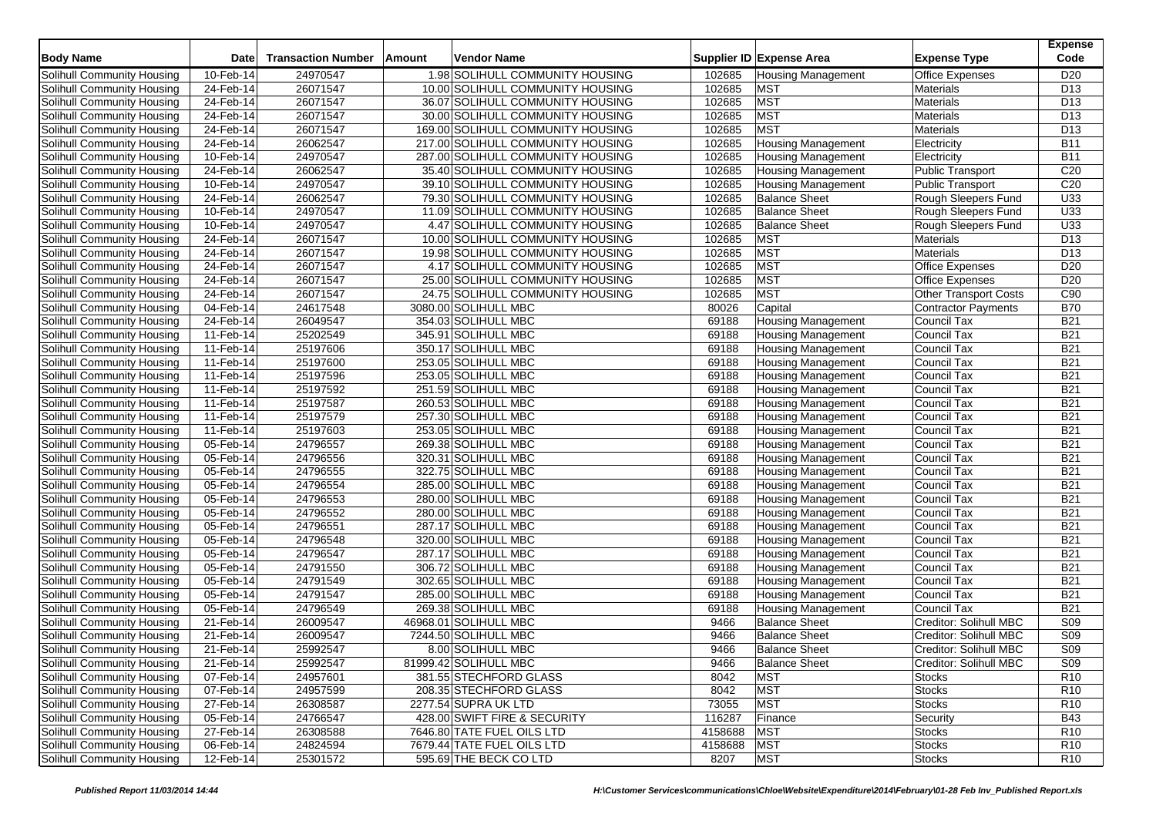| <b>Body Name</b>                  | <b>Date</b>  | <b>Transaction Number</b> | Amount | Vendor Name                       |         | Supplier ID Expense Area  | <b>Expense Type</b>          | <b>Expense</b><br>Code |
|-----------------------------------|--------------|---------------------------|--------|-----------------------------------|---------|---------------------------|------------------------------|------------------------|
| Solihull Community Housing        | 10-Feb-14    | 24970547                  |        | 1.98 SOLIHULL COMMUNITY HOUSING   | 102685  | <b>Housing Management</b> | <b>Office Expenses</b>       | D <sub>20</sub>        |
| Solihull Community Housing        | 24-Feb-14    | 26071547                  |        | 10.00 SOLIHULL COMMUNITY HOUSING  | 102685  | <b>MST</b>                | <b>Materials</b>             | D <sub>13</sub>        |
| Solihull Community Housing        | 24-Feb-14    | 26071547                  |        | 36.07 SOLIHULL COMMUNITY HOUSING  | 102685  | <b>MST</b>                | Materials                    | D <sub>13</sub>        |
| Solihull Community Housing        | 24-Feb-14    | 26071547                  |        | 30.00 SOLIHULL COMMUNITY HOUSING  | 102685  | <b>MST</b>                | Materials                    | D <sub>13</sub>        |
| Solihull Community Housing        | 24-Feb-14    | 26071547                  |        | 169.00 SOLIHULL COMMUNITY HOUSING | 102685  | <b>MST</b>                | Materials                    | D <sub>13</sub>        |
| Solihull Community Housing        | 24-Feb-14    | 26062547                  |        | 217.00 SOLIHULL COMMUNITY HOUSING | 102685  | <b>Housing Management</b> | Electricity                  | <b>B11</b>             |
| Solihull Community Housing        | 10-Feb-14    | 24970547                  |        | 287.00 SOLIHULL COMMUNITY HOUSING | 102685  | <b>Housing Management</b> | Electricity                  | <b>B11</b>             |
| Solihull Community Housing        | 24-Feb-14    | 26062547                  |        | 35.40 SOLIHULL COMMUNITY HOUSING  | 102685  | <b>Housing Management</b> | <b>Public Transport</b>      | C <sub>20</sub>        |
| Solihull Community Housing        | 10-Feb-14    | 24970547                  |        | 39.10 SOLIHULL COMMUNITY HOUSING  | 102685  | <b>Housing Management</b> | Public Transport             | C <sub>20</sub>        |
| Solihull Community Housing        | 24-Feb-14    | 26062547                  |        | 79.30 SOLIHULL COMMUNITY HOUSING  | 102685  | <b>Balance Sheet</b>      | Rough Sleepers Fund          | $\overline{U33}$       |
| Solihull Community Housing        | 10-Feb-14    | 24970547                  |        | 11.09 SOLIHULL COMMUNITY HOUSING  | 102685  | <b>Balance Sheet</b>      | Rough Sleepers Fund          | U33                    |
| Solihull Community Housing        | 10-Feb-14    | 24970547                  |        | 4.47 SOLIHULL COMMUNITY HOUSING   | 102685  | <b>Balance Sheet</b>      | Rough Sleepers Fund          | $\overline{U33}$       |
| Solihull Community Housing        | 24-Feb-14    | 26071547                  |        | 10.00 SOLIHULL COMMUNITY HOUSING  | 102685  | <b>MST</b>                | Materials                    | D <sub>13</sub>        |
| Solihull Community Housing        | 24-Feb-14    | 26071547                  |        | 19.98 SOLIHULL COMMUNITY HOUSING  | 102685  | <b>MST</b>                | Materials                    | D <sub>13</sub>        |
| Solihull Community Housing        | 24-Feb-14    | 26071547                  |        | 4.17 SOLIHULL COMMUNITY HOUSING   | 102685  | <b>MST</b>                | <b>Office Expenses</b>       | D <sub>20</sub>        |
| Solihull Community Housing        | 24-Feb-14    | 26071547                  |        | 25.00 SOLIHULL COMMUNITY HOUSING  | 102685  | <b>MST</b>                | <b>Office Expenses</b>       | D <sub>20</sub>        |
| Solihull Community Housing        | 24-Feb-14    | 26071547                  |        | 24.75 SOLIHULL COMMUNITY HOUSING  | 102685  | <b>MST</b>                | <b>Other Transport Costs</b> | C90                    |
| Solihull Community Housing        | 04-Feb-14    | 24617548                  |        | 3080.00 SOLIHULL MBC              | 80026   | Capital                   | Contractor Payments          | <b>B70</b>             |
| Solihull Community Housing        | 24-Feb-14    | 26049547                  |        | 354.03 SOLIHULL MBC               | 69188   | <b>Housing Management</b> | Council Tax                  | <b>B21</b>             |
| Solihull Community Housing        | 11-Feb-14    | 25202549                  |        | 345.91 SOLIHULL MBC               | 69188   | <b>Housing Management</b> | Council Tax                  | <b>B21</b>             |
| Solihull Community Housing        | 11-Feb-14    | 25197606                  |        | 350.17 SOLIHULL MBC               | 69188   | <b>Housing Management</b> | Council Tax                  | <b>B21</b>             |
| Solihull Community Housing        | 11-Feb-14    | 25197600                  |        | 253.05 SOLIHULL MBC               | 69188   | <b>Housing Management</b> | Council Tax                  | <b>B21</b>             |
| Solihull Community Housing        | 11-Feb-14    | 25197596                  |        | 253.05 SOLIHULL MBC               | 69188   | <b>Housing Management</b> | Council Tax                  | <b>B21</b>             |
| Solihull Community Housing        | 11-Feb-14    | 25197592                  |        | 251.59 SOLIHULL MBC               | 69188   | <b>Housing Management</b> | Council Tax                  | <b>B21</b>             |
| Solihull Community Housing        | 11-Feb-14    | 25197587                  |        | 260.53 SOLIHULL MBC               | 69188   | <b>Housing Management</b> | Council Tax                  | <b>B21</b>             |
| Solihull Community Housing        | 11-Feb-14    | 25197579                  |        | 257.30 SOLIHULL MBC               | 69188   | <b>Housing Management</b> | Council Tax                  | <b>B21</b>             |
| Solihull Community Housing        | 11-Feb-14    | 25197603                  |        | 253.05 SOLIHULL MBC               | 69188   | <b>Housing Management</b> | Council Tax                  | <b>B21</b>             |
| Solihull Community Housing        | 05-Feb-14    | 24796557                  |        | 269.38 SOLIHULL MBC               | 69188   | <b>Housing Management</b> | Council Tax                  | <b>B21</b>             |
| Solihull Community Housing        | 05-Feb-14    | 24796556                  |        | 320.31 SOLIHULL MBC               | 69188   | <b>Housing Management</b> | Council Tax                  | <b>B21</b>             |
| Solihull Community Housing        | 05-Feb-14    | 24796555                  |        | 322.75 SOLIHULL MBC               | 69188   | <b>Housing Management</b> | Council Tax                  | <b>B21</b>             |
| Solihull Community Housing        | 05-Feb-14    | 24796554                  |        | 285.00 SOLIHULL MBC               | 69188   | <b>Housing Management</b> | Council Tax                  | <b>B21</b>             |
| Solihull Community Housing        | 05-Feb-14    | 24796553                  |        | 280.00 SOLIHULL MBC               | 69188   | <b>Housing Management</b> | Council Tax                  | <b>B21</b>             |
| Solihull Community Housing        | 05-Feb-14    | 24796552                  |        | 280.00 SOLIHULL MBC               | 69188   | <b>Housing Management</b> | Council Tax                  | <b>B21</b>             |
| Solihull Community Housing        | 05-Feb-14    | 24796551                  |        | 287.17 SOLIHULL MBC               | 69188   | <b>Housing Management</b> | Council Tax                  | <b>B21</b>             |
| Solihull Community Housing        | 05-Feb-14    | 24796548                  |        | 320.00 SOLIHULL MBC               | 69188   | <b>Housing Management</b> | Council Tax                  | <b>B21</b>             |
| Solihull Community Housing        | 05-Feb-14    | 24796547                  |        | 287.17 SOLIHULL MBC               | 69188   | <b>Housing Management</b> | Council Tax                  | <b>B21</b>             |
| Solihull Community Housing        | 05-Feb-14    | 24791550                  |        | 306.72 SOLIHULL MBC               | 69188   | <b>Housing Management</b> | Council Tax                  | <b>B21</b>             |
| Solihull Community Housing        | 05-Feb-14    | 24791549                  |        | 302.65 SOLIHULL MBC               | 69188   | <b>Housing Management</b> | Council Tax                  | <b>B21</b>             |
| Solihull Community Housing        | 05-Feb-14    | 24791547                  |        | 285.00 SOLIHULL MBC               | 69188   | <b>Housing Management</b> | Council Tax                  | <b>B21</b>             |
| Solihull Community Housing        | 05-Feb-14    | 24796549                  |        | 269.38 SOLIHULL MBC               | 69188   | <b>Housing Management</b> | Council Tax                  | <b>B21</b>             |
| Solihull Community Housing        | 21-Feb-14    | 26009547                  |        | 46968.01 SOLIHULL MBC             | 9466    | <b>Balance Sheet</b>      | Creditor: Solihull MBC       | <b>S09</b>             |
| Solihull Community Housing        | 21-Feb-14    | 26009547                  |        | 7244.50 SOLIHULL MBC              | 9466    | <b>Balance Sheet</b>      | Creditor: Solihull MBC       | <b>S09</b>             |
| Solihull Community Housing        | 21-Feb-14    | 25992547                  |        | 8.00 SOLIHULL MBC                 | 9466    | <b>Balance Sheet</b>      | Creditor: Solihull MBC       | S <sub>09</sub>        |
| Solihull Community Housing        | 21-Feb-14    | 25992547                  |        | 81999.42 SOLIHULL MBC             | 9466    | <b>Balance Sheet</b>      | Creditor: Solihull MBC       | S09                    |
| Solihull Community Housing        | $07$ -Feb-14 | 24957601                  |        | 381.55 STECHFORD GLASS            | 8042    | <b>MST</b>                | Stocks                       | R <sub>10</sub>        |
| Solihull Community Housing        | 07-Feb-14    | 24957599                  |        | 208.35 STECHFORD GLASS            | 8042    | <b>MST</b>                | <b>Stocks</b>                | R <sub>10</sub>        |
| Solihull Community Housing        | 27-Feb-14    | 26308587                  |        | 2277.54 SUPRA UK LTD              | 73055   | <b>MST</b>                | <b>Stocks</b>                | R <sub>10</sub>        |
| Solihull Community Housing        | 05-Feb-14    | 24766547                  |        | 428.00 SWIFT FIRE & SECURITY      | 116287  | Finance                   | Security                     | <b>B43</b>             |
| Solihull Community Housing        | 27-Feb-14    | 26308588                  |        | 7646.80 TATE FUEL OILS LTD        | 4158688 | <b>MST</b>                | <b>Stocks</b>                | R <sub>10</sub>        |
| <b>Solihull Community Housing</b> | 06-Feb-14    | 24824594                  |        | 7679.44 TATE FUEL OILS LTD        | 4158688 | <b>MST</b>                | <b>Stocks</b>                | R <sub>10</sub>        |
| Solihull Community Housing        | 12-Feb-14    | 25301572                  |        | 595.69 THE BECK CO LTD            | 8207    | <b>MST</b>                | <b>Stocks</b>                | R <sub>10</sub>        |
|                                   |              |                           |        |                                   |         |                           |                              |                        |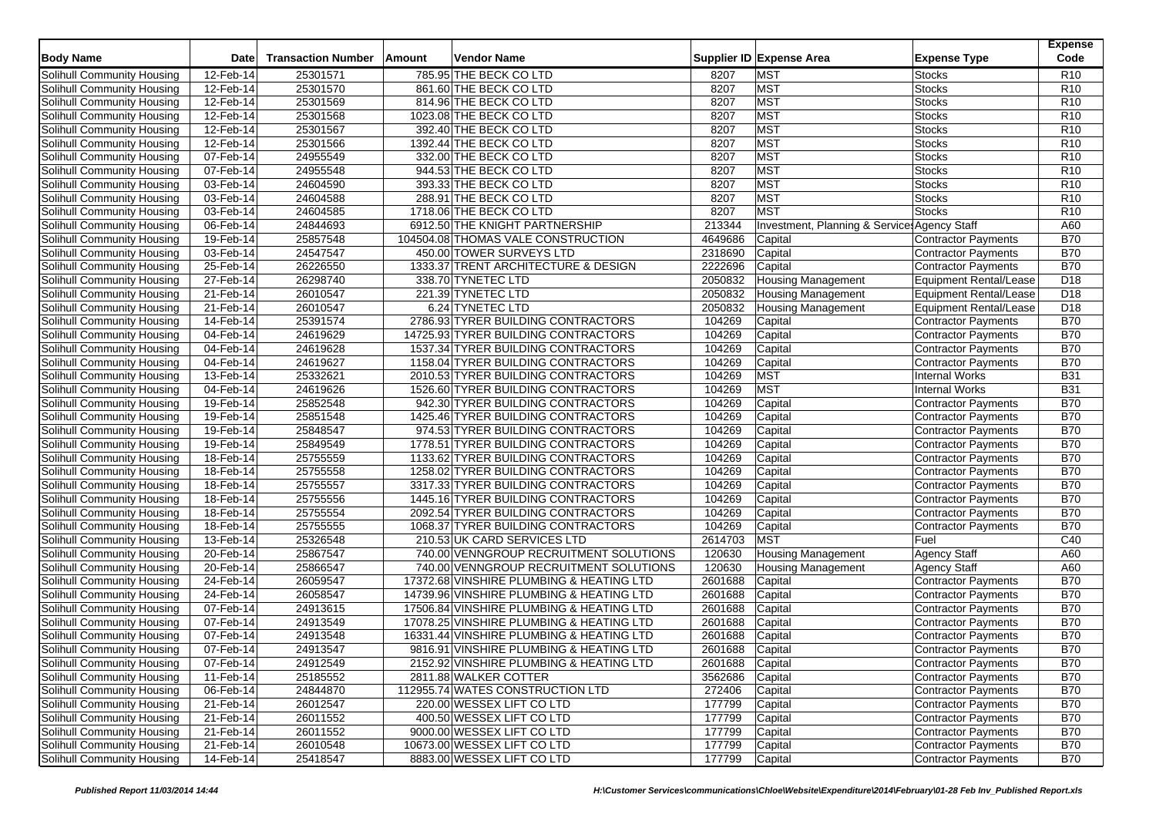| <b>Body Name</b>                                         | <b>Date</b>  | <b>Transaction Number</b> | Amount | <b>Vendor Name</b>                       |         | Supplier ID Expense Area                               | <b>Expense Type</b>                        | <b>Expense</b><br>Code |
|----------------------------------------------------------|--------------|---------------------------|--------|------------------------------------------|---------|--------------------------------------------------------|--------------------------------------------|------------------------|
| Solihull Community Housing                               | 12-Feb-14    | 25301571                  |        | 785.95 THE BECK CO LTD                   | 8207    | <b>MST</b>                                             | <b>Stocks</b>                              | R <sub>10</sub>        |
| Solihull Community Housing                               | 12-Feb-14    | 25301570                  |        | 861.60 THE BECK CO LTD                   | 8207    | <b>MST</b>                                             | <b>Stocks</b>                              | R <sub>10</sub>        |
| Solihull Community Housing                               | 12-Feb-14    | 25301569                  |        | 814.96 THE BECK CO LTD                   | 8207    | <b>MST</b>                                             | <b>Stocks</b>                              | R <sub>10</sub>        |
| Solihull Community Housing                               | 12-Feb-14    | 25301568                  |        | 1023.08 THE BECK CO LTD                  | 8207    | <b>MST</b>                                             | <b>Stocks</b>                              | R <sub>10</sub>        |
| Solihull Community Housing                               | 12-Feb-14    | 25301567                  |        | 392.40 THE BECK CO LTD                   | 8207    | <b>MST</b>                                             | <b>Stocks</b>                              | R <sub>10</sub>        |
| Solihull Community Housing                               | $12$ -Feb-14 | 25301566                  |        | 1392.44 THE BECK CO LTD                  | 8207    | <b>MST</b>                                             | <b>Stocks</b>                              | R <sub>10</sub>        |
| Solihull Community Housing                               | 07-Feb-14    | 24955549                  |        | 332.00 THE BECK CO LTD                   | 8207    | <b>MST</b>                                             | <b>Stocks</b>                              | R <sub>10</sub>        |
| Solihull Community Housing                               | 07-Feb-14    | 24955548                  |        | 944.53 THE BECK CO LTD                   | 8207    | <b>MST</b>                                             | <b>Stocks</b>                              | R <sub>10</sub>        |
| Solihull Community Housing                               | 03-Feb-14    | 24604590                  |        | 393.33 THE BECK CO LTD                   | 8207    | <b>MST</b>                                             | <b>Stocks</b>                              | R <sub>10</sub>        |
| Solihull Community Housing                               | 03-Feb-14    | 24604588                  |        | 288.91 THE BECK CO LTD                   | 8207    | <b>MST</b>                                             | <b>Stocks</b>                              | R <sub>10</sub>        |
| Solihull Community Housing                               | 03-Feb-14    | 24604585                  |        | 1718.06 THE BECK CO LTD                  | 8207    | <b>MST</b>                                             | <b>Stocks</b>                              | R <sub>10</sub>        |
| Solihull Community Housing                               | 06-Feb-14    | 24844693                  |        | 6912.50 THE KNIGHT PARTNERSHIP           | 213344  | Investment, Planning & Service: Agency Staff           |                                            | A60                    |
| Solihull Community Housing                               | 19-Feb-14    | 25857548                  |        | 104504.08 THOMAS VALE CONSTRUCTION       | 4649686 | Capital                                                | Contractor Payments                        | <b>B70</b>             |
| Solihull Community Housing                               | 03-Feb-14    | 24547547                  |        | 450.00 TOWER SURVEYS LTD                 | 2318690 | Capital                                                | Contractor Payments                        | <b>B70</b>             |
| Solihull Community Housing                               | 25-Feb-14    | 26226550                  |        | 1333.37 TRENT ARCHITECTURE & DESIGN      | 2222696 | Capital                                                | <b>Contractor Payments</b>                 | <b>B70</b>             |
| Solihull Community Housing                               | 27-Feb-14    | 26298740                  |        | 338.70 TYNETEC LTD                       | 2050832 | <b>Housing Management</b>                              | Equipment Rental/Lease                     | D18                    |
| Solihull Community Housing                               | 21-Feb-14    | 26010547                  |        | 221.39 TYNETEC LTD                       | 2050832 | <b>Housing Management</b>                              | <b>Equipment Rental/Lease</b>              | D <sub>18</sub>        |
| Solihull Community Housing                               | 21-Feb-14    | 26010547                  |        | 6.24 TYNETEC LTD                         | 2050832 | <b>Housing Management</b>                              | Equipment Rental/Lease                     | D <sub>18</sub>        |
| Solihull Community Housing                               | 14-Feb-14    | 25391574                  |        | 2786.93 TYRER BUILDING CONTRACTORS       | 104269  | Capital                                                | Contractor Payments                        | <b>B70</b>             |
| Solihull Community Housing                               | 04-Feb-14    | 24619629                  |        | 14725.93 TYRER BUILDING CONTRACTORS      | 104269  | Capital                                                | <b>Contractor Payments</b>                 | <b>B70</b>             |
| Solihull Community Housing                               | 04-Feb-14    | 24619628                  |        | 1537.34 TYRER BUILDING CONTRACTORS       | 104269  | Capital                                                | <b>Contractor Payments</b>                 | <b>B70</b>             |
| Solihull Community Housing                               | 04-Feb-14    | 24619627                  |        | 1158.04 TYRER BUILDING CONTRACTORS       | 104269  | Capital                                                | <b>Contractor Payments</b>                 | <b>B70</b>             |
| Solihull Community Housing                               | 13-Feb-14    | 25332621                  |        | 2010.53 TYRER BUILDING CONTRACTORS       | 104269  | <b>MST</b>                                             | <b>Internal Works</b>                      | <b>B31</b>             |
| Solihull Community Housing                               | 04-Feb-14    | 24619626                  |        | 1526.60 TYRER BUILDING CONTRACTORS       | 104269  | <b>MST</b>                                             | <b>Internal Works</b>                      | <b>B31</b>             |
| Solihull Community Housing                               | 19-Feb-14    | 25852548                  |        | 942.30 TYRER BUILDING CONTRACTORS        | 104269  | Capital                                                | <b>Contractor Payments</b>                 | <b>B70</b>             |
| Solihull Community Housing                               | 19-Feb-14    | 25851548                  |        | 1425.46 TYRER BUILDING CONTRACTORS       | 104269  | Capital                                                | <b>Contractor Payments</b>                 | <b>B70</b>             |
| Solihull Community Housing                               | 19-Feb-14    | 25848547                  |        | 974.53 TYRER BUILDING CONTRACTORS        | 104269  | Capital                                                | <b>Contractor Payments</b>                 | <b>B70</b>             |
| Solihull Community Housing                               | 19-Feb-14    | 25849549                  |        | 1778.51 TYRER BUILDING CONTRACTORS       | 104269  | Capital                                                | Contractor Payments                        | <b>B70</b>             |
| Solihull Community Housing                               | 18-Feb-14    | 25755559                  |        | 1133.62 TYRER BUILDING CONTRACTORS       | 104269  | Capital                                                | Contractor Payments                        | <b>B70</b>             |
| Solihull Community Housing                               | 18-Feb-14    | 25755558                  |        | 1258.02 TYRER BUILDING CONTRACTORS       | 104269  | Capital                                                | <b>Contractor Payments</b>                 | <b>B70</b>             |
| Solihull Community Housing                               | 18-Feb-14    | 25755557                  |        | 3317.33 TYRER BUILDING CONTRACTORS       | 104269  |                                                        | <b>Contractor Payments</b>                 | <b>B70</b>             |
| Solihull Community Housing                               | 18-Feb-14    | 25755556                  |        | 1445.16 TYRER BUILDING CONTRACTORS       | 104269  | Capital<br>Capital                                     | <b>Contractor Payments</b>                 | <b>B70</b>             |
| Solihull Community Housing                               | 18-Feb-14    | 25755554                  |        | 2092.54 TYRER BUILDING CONTRACTORS       | 104269  | Capital                                                | <b>Contractor Payments</b>                 | <b>B70</b>             |
|                                                          | 18-Feb-14    | 25755555                  |        | 1068.37 TYRER BUILDING CONTRACTORS       | 104269  |                                                        | <b>Contractor Payments</b>                 | <b>B70</b>             |
| Solihull Community Housing                               | 13-Feb-14    | 25326548                  |        | 210.53 UK CARD SERVICES LTD              | 2614703 | Capital<br><b>MST</b>                                  | Fuel                                       | C40                    |
| Solihull Community Housing                               | 20-Feb-14    | 25867547                  |        | 740.00 VENNGROUP RECRUITMENT SOLUTIONS   | 120630  |                                                        | <b>Agency Staff</b>                        | A60                    |
| Solihull Community Housing<br>Solihull Community Housing | 20-Feb-14    | 25866547                  |        | 740.00 VENNGROUP RECRUITMENT SOLUTIONS   | 120630  | <b>Housing Management</b><br><b>Housing Management</b> |                                            | A60                    |
| Solihull Community Housing                               | 24-Feb-14    | 26059547                  |        | 17372.68 VINSHIRE PLUMBING & HEATING LTD | 2601688 | Capital                                                | <b>Agency Staff</b>                        | <b>B70</b>             |
| Solihull Community Housing                               | 24-Feb-14    | 26058547                  |        | 14739.96 VINSHIRE PLUMBING & HEATING LTD | 2601688 | Capital                                                | Contractor Payments<br>Contractor Payments | <b>B70</b>             |
| Solihull Community Housing                               | 07-Feb-14    | 24913615                  |        | 17506.84 VINSHIRE PLUMBING & HEATING LTD | 2601688 | Capital                                                | <b>Contractor Payments</b>                 | <b>B70</b>             |
| Solihull Community Housing                               | 07-Feb-14    | 24913549                  |        | 17078.25 VINSHIRE PLUMBING & HEATING LTD | 2601688 | Capital                                                | <b>Contractor Payments</b>                 | <b>B70</b>             |
| Solihull Community Housing                               | 07-Feb-14    | 24913548                  |        | 16331.44 VINSHIRE PLUMBING & HEATING LTD | 2601688 | Capital                                                | Contractor Payments                        | <b>B70</b>             |
| Solihull Community Housing                               | 07-Feb-14    | 24913547                  |        | 9816.91 VINSHIRE PLUMBING & HEATING LTD  | 2601688 | Capital                                                | <b>Contractor Payments</b>                 | <b>B70</b>             |
| Solihull Community Housing                               | 07-Feb-14    | 24912549                  |        | 2152.92 VINSHIRE PLUMBING & HEATING LTD  | 2601688 | Capital                                                | Contractor Payments                        | <b>B70</b>             |
| Solihull Community Housing                               | $11$ -Feb-14 | 25185552                  |        | 2811.88 WALKER COTTER                    | 3562686 | Capital                                                | Contractor Payments                        | <b>B70</b>             |
| Solihull Community Housing                               | 06-Feb-14    | 24844870                  |        | 112955.74 WATES CONSTRUCTION LTD         | 272406  | Capital                                                | <b>Contractor Payments</b>                 | <b>B70</b>             |
| Solihull Community Housing                               | 21-Feb-14    | 26012547                  |        | 220.00 WESSEX LIFT CO LTD                | 177799  | Capital                                                | Contractor Payments                        | <b>B70</b>             |
| Solihull Community Housing                               | 21-Feb-14    | 26011552                  |        | 400.50 WESSEX LIFT CO LTD                | 177799  | Capital                                                | Contractor Payments                        | <b>B70</b>             |
| Solihull Community Housing                               | 21-Feb-14    | 26011552                  |        | 9000.00 WESSEX LIFT CO LTD               | 177799  | Capital                                                | Contractor Payments                        | <b>B70</b>             |
| Solihull Community Housing                               | 21-Feb-14    | 26010548                  |        | 10673.00 WESSEX LIFT CO LTD              | 177799  | Capital                                                | Contractor Payments                        | <b>B70</b>             |
| Solihull Community Housing                               | 14-Feb-14    | 25418547                  |        | 8883.00 WESSEX LIFT CO LTD               | 177799  | Capital                                                | Contractor Payments                        | <b>B70</b>             |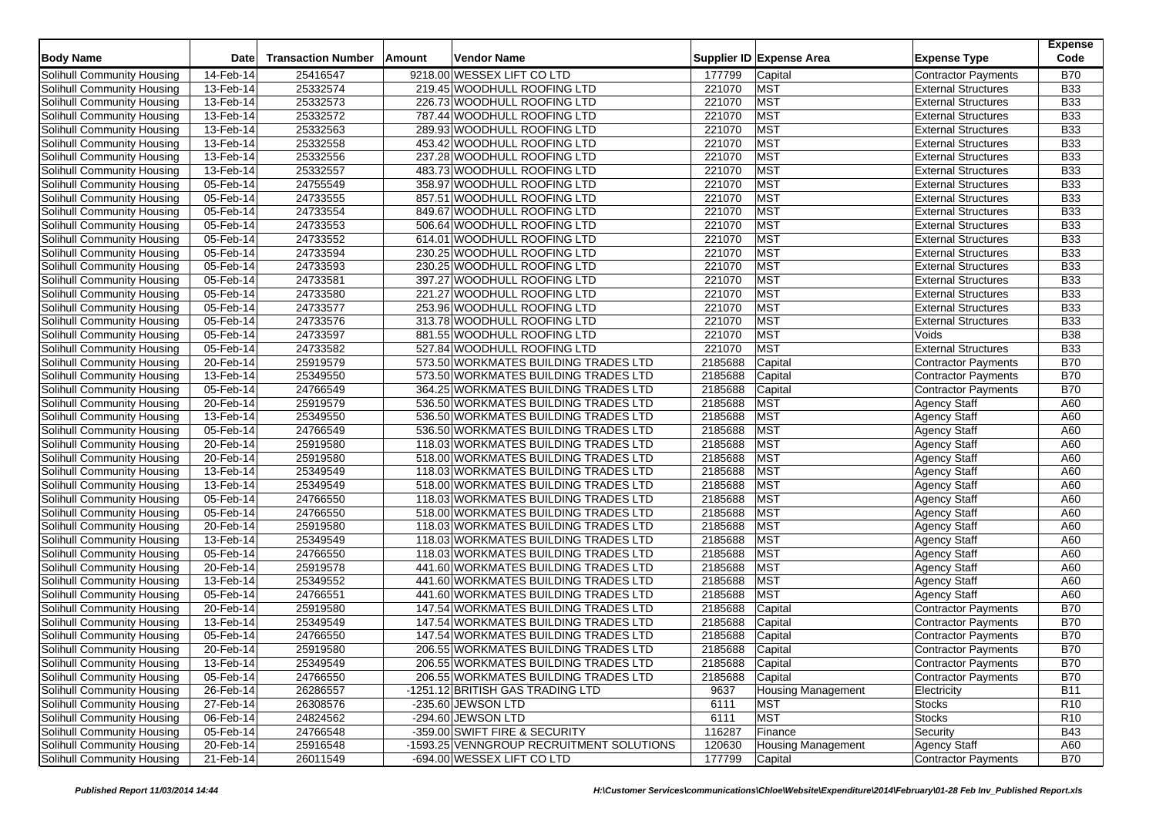| <b>Body Name</b>                  | <b>Date</b>  | <b>Transaction Number</b> | Amount | Vendor Name                              |         | Supplier ID Expense Area  | <b>Expense Type</b>        | <b>Expense</b><br>Code |
|-----------------------------------|--------------|---------------------------|--------|------------------------------------------|---------|---------------------------|----------------------------|------------------------|
| Solihull Community Housing        | 14-Feb-14    | 25416547                  |        | 9218.00 WESSEX LIFT CO LTD               | 177799  | Capital                   | Contractor Payments        | <b>B70</b>             |
| Solihull Community Housing        | 13-Feb-14    | 25332574                  |        | 219.45 WOODHULL ROOFING LTD              | 221070  | <b>MST</b>                | <b>External Structures</b> | <b>B33</b>             |
| Solihull Community Housing        | 13-Feb-14    | 25332573                  |        | 226.73 WOODHULL ROOFING LTD              | 221070  | <b>MST</b>                | <b>External Structures</b> | <b>B33</b>             |
| Solihull Community Housing        | 13-Feb-14    | 25332572                  |        | 787.44 WOODHULL ROOFING LTD              | 221070  | <b>MST</b>                | <b>External Structures</b> | <b>B33</b>             |
| Solihull Community Housing        | 13-Feb-14    | 25332563                  |        | 289.93 WOODHULL ROOFING LTD              | 221070  | <b>MST</b>                | <b>External Structures</b> | <b>B33</b>             |
| Solihull Community Housing        | 13-Feb-14    | 25332558                  |        | 453.42 WOODHULL ROOFING LTD              | 221070  | MST                       | <b>External Structures</b> | <b>B33</b>             |
| Solihull Community Housing        | 13-Feb-14    | 25332556                  |        | 237.28 WOODHULL ROOFING LTD              | 221070  | <b>MST</b>                | <b>External Structures</b> | <b>B33</b>             |
| Solihull Community Housing        | 13-Feb-14    | 25332557                  |        | 483.73 WOODHULL ROOFING LTD              | 221070  | <b>MST</b>                | <b>External Structures</b> | <b>B33</b>             |
| Solihull Community Housing        | 05-Feb-14    | 24755549                  |        | 358.97 WOODHULL ROOFING LTD              | 221070  | MST                       | <b>External Structures</b> | <b>B33</b>             |
| Solihull Community Housing        | 05-Feb-14    | 24733555                  |        | 857.51 WOODHULL ROOFING LTD              | 221070  | <b>MST</b>                | <b>External Structures</b> | <b>B33</b>             |
| Solihull Community Housing        | 05-Feb-14    | 24733554                  |        | 849.67 WOODHULL ROOFING LTD              | 221070  | <b>MST</b>                | <b>External Structures</b> | <b>B33</b>             |
| Solihull Community Housing        | $05$ -Feb-14 | 24733553                  |        | 506.64 WOODHULL ROOFING LTD              | 221070  | MST                       | <b>External Structures</b> | <b>B33</b>             |
| Solihull Community Housing        | 05-Feb-14    | 24733552                  |        | 614.01 WOODHULL ROOFING LTD              | 221070  | <b>MST</b>                | <b>External Structures</b> | <b>B33</b>             |
| Solihull Community Housing        | 05-Feb-14    | 24733594                  |        | 230.25 WOODHULL ROOFING LTD              | 221070  | MST                       | <b>External Structures</b> | <b>B33</b>             |
| Solihull Community Housing        | 05-Feb-14    | 24733593                  |        | 230.25 WOODHULL ROOFING LTD              | 221070  | <b>MST</b>                | <b>External Structures</b> | <b>B33</b>             |
| Solihull Community Housing        | 05-Feb-14    | 24733581                  |        | 397.27 WOODHULL ROOFING LTD              | 221070  | <b>MST</b>                | <b>External Structures</b> | <b>B33</b>             |
| Solihull Community Housing        | 05-Feb-14    | 24733580                  |        | 221.27 WOODHULL ROOFING LTD              | 221070  | <b>MST</b>                | <b>External Structures</b> | <b>B33</b>             |
| Solihull Community Housing        | 05-Feb-14    | 24733577                  |        | 253.96 WOODHULL ROOFING LTD              | 221070  | <b>MST</b>                | <b>External Structures</b> | <b>B33</b>             |
| Solihull Community Housing        | 05-Feb-14    | 24733576                  |        | 313.78 WOODHULL ROOFING LTD              | 221070  | <b>MST</b>                | <b>External Structures</b> | <b>B33</b>             |
| Solihull Community Housing        | 05-Feb-14    | 24733597                  |        | 881.55 WOODHULL ROOFING LTD              | 221070  | <b>MST</b>                | Voids                      | <b>B38</b>             |
| Solihull Community Housing        | 05-Feb-14    | 24733582                  |        | 527.84 WOODHULL ROOFING LTD              | 221070  | <b>MST</b>                | <b>External Structures</b> | <b>B33</b>             |
| Solihull Community Housing        | 20-Feb-14    | 25919579                  |        | 573.50 WORKMATES BUILDING TRADES LTD     | 2185688 | Capital                   | Contractor Payments        | <b>B70</b>             |
| Solihull Community Housing        | 13-Feb-14    | 25349550                  |        | 573.50 WORKMATES BUILDING TRADES LTD     | 2185688 | Capital                   | Contractor Payments        | <b>B70</b>             |
| Solihull Community Housing        | 05-Feb-14    | 24766549                  |        | 364.25 WORKMATES BUILDING TRADES LTD     | 2185688 | Capital                   | Contractor Payments        | <b>B70</b>             |
| Solihull Community Housing        | 20-Feb-14    | 25919579                  |        | 536.50 WORKMATES BUILDING TRADES LTD     | 2185688 | <b>MST</b>                | <b>Agency Staff</b>        | A60                    |
| Solihull Community Housing        | 13-Feb-14    | 25349550                  |        | 536.50 WORKMATES BUILDING TRADES LTD     | 2185688 | MST                       | <b>Agency Staff</b>        | A60                    |
| Solihull Community Housing        | 05-Feb-14    | 24766549                  |        | 536.50 WORKMATES BUILDING TRADES LTD     | 2185688 | <b>MST</b>                | <b>Agency Staff</b>        | A60                    |
| Solihull Community Housing        | 20-Feb-14    | 25919580                  |        | 118.03 WORKMATES BUILDING TRADES LTD     | 2185688 | <b>MST</b>                | <b>Agency Staff</b>        | A60                    |
| Solihull Community Housing        | 20-Feb-14    | 25919580                  |        | 518.00 WORKMATES BUILDING TRADES LTD     | 2185688 | <b>MST</b>                | <b>Agency Staff</b>        | A60                    |
| Solihull Community Housing        | 13-Feb-14    | 25349549                  |        | 118.03 WORKMATES BUILDING TRADES LTD     | 2185688 | <b>MST</b>                | <b>Agency Staff</b>        | A60                    |
| Solihull Community Housing        | 13-Feb-14    | 25349549                  |        | 518.00 WORKMATES BUILDING TRADES LTD     | 2185688 | MST                       | <b>Agency Staff</b>        | A60                    |
| Solihull Community Housing        | 05-Feb-14    | 24766550                  |        | 118.03 WORKMATES BUILDING TRADES LTD     | 2185688 | MST                       | <b>Agency Staff</b>        | A60                    |
| Solihull Community Housing        | 05-Feb-14    | 24766550                  |        | 518.00 WORKMATES BUILDING TRADES LTD     | 2185688 | <b>MST</b>                | <b>Agency Staff</b>        | A60                    |
| Solihull Community Housing        | 20-Feb-14    | 25919580                  |        | 118.03 WORKMATES BUILDING TRADES LTD     | 2185688 | <b>MST</b>                | <b>Agency Staff</b>        | A60                    |
| Solihull Community Housing        | 13-Feb-14    | 25349549                  |        | 118.03 WORKMATES BUILDING TRADES LTD     | 2185688 | MST                       | <b>Agency Staff</b>        | A60                    |
| Solihull Community Housing        | 05-Feb-14    | 24766550                  |        | 118.03 WORKMATES BUILDING TRADES LTD     | 2185688 | <b>MST</b>                | <b>Agency Staff</b>        | A60                    |
| Solihull Community Housing        | 20-Feb-14    | 25919578                  |        | 441.60 WORKMATES BUILDING TRADES LTD     | 2185688 | <b>MST</b>                | <b>Agency Staff</b>        | A60                    |
| Solihull Community Housing        | 13-Feb-14    | 25349552                  |        | 441.60 WORKMATES BUILDING TRADES LTD     | 2185688 | <b>MST</b>                | <b>Agency Staff</b>        | A60                    |
| Solihull Community Housing        | 05-Feb-14    | 24766551                  |        | 441.60 WORKMATES BUILDING TRADES LTD     | 2185688 | <b>MST</b>                | <b>Agency Staff</b>        | A60                    |
| Solihull Community Housing        | 20-Feb-14    | 25919580                  |        | 147.54 WORKMATES BUILDING TRADES LTD     | 2185688 | Capital                   | <b>Contractor Payments</b> | <b>B70</b>             |
| Solihull Community Housing        | 13-Feb-14    | 25349549                  |        | 147.54 WORKMATES BUILDING TRADES LTD     | 2185688 | Capital                   | Contractor Payments        | <b>B70</b>             |
| Solihull Community Housing        | 05-Feb-14    | 24766550                  |        | 147.54 WORKMATES BUILDING TRADES LTD     | 2185688 | Capital                   | <b>Contractor Payments</b> | <b>B70</b>             |
| Solihull Community Housing        | 20-Feb-14    | 25919580                  |        | 206.55 WORKMATES BUILDING TRADES LTD     | 2185688 | Capital                   | <b>Contractor Payments</b> | <b>B70</b>             |
| Solihull Community Housing        | 13-Feb-14    | 25349549                  |        | 206.55 WORKMATES BUILDING TRADES LTD     | 2185688 | Capital                   | Contractor Payments        | <b>B70</b>             |
| Solihull Community Housing        | 05-Feb-14    | 24766550                  |        | 206.55 WORKMATES BUILDING TRADES LTD     | 2185688 | Capital                   | Contractor Payments        | <b>B70</b>             |
| Solihull Community Housing        | 26-Feb-14    | 26286557                  |        | -1251.12 BRITISH GAS TRADING LTD         | 9637    | <b>Housing Management</b> | Electricity                | <b>B11</b>             |
| Solihull Community Housing        | 27-Feb-14    | 26308576                  |        | -235.60 JEWSON LTD                       | 6111    | <b>MST</b>                | <b>Stocks</b>              | R <sub>10</sub>        |
| Solihull Community Housing        | 06-Feb-14    | 24824562                  |        | -294.60 JEWSON LTD                       | 6111    | <b>MST</b>                | <b>Stocks</b>              | R <sub>10</sub>        |
| Solihull Community Housing        | 05-Feb-14    | 24766548                  |        | -359.00 SWIFT FIRE & SECURITY            | 116287  | Finance                   | Security                   | <b>B43</b>             |
| <b>Solihull Community Housing</b> | 20-Feb-14    | 25916548                  |        | -1593.25 VENNGROUP RECRUITMENT SOLUTIONS | 120630  | <b>Housing Management</b> | Agency Staff               | A60                    |
| Solihull Community Housing        | 21-Feb-14    | 26011549                  |        | -694.00 WESSEX LIFT CO LTD               | 177799  | Capital                   | Contractor Payments        | <b>B70</b>             |